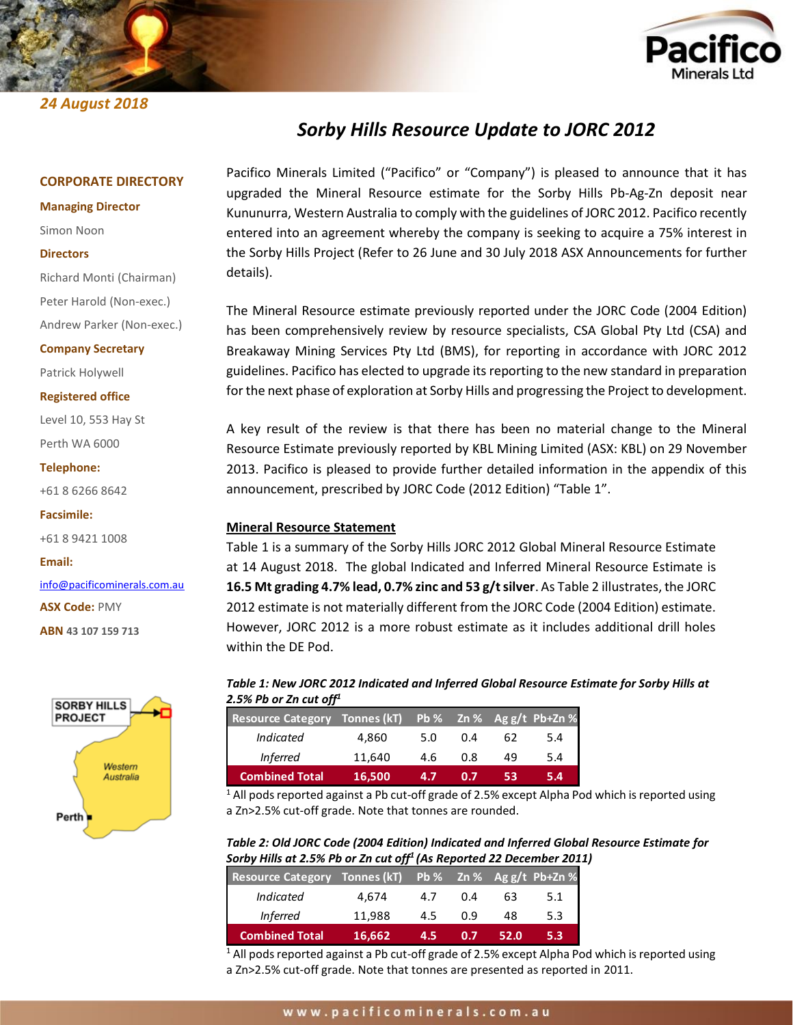## *24 August 2018*



## *Sorby Hills Resource Update to JORC 2012*

#### **CORPORATE DIRECTORY**

**Managing Director**

#### Simon Noon

#### **Directors**

Richard Monti (Chairman) Peter Harold (Non-exec.)

Andrew Parker (Non-exec.) **Company Secretary**

Patrick Holywell

**Registered office**

Level 10, 553 Hay St Perth WA 6000

**Telephone:**

+61 8 6266 8642

**Facsimile:**

+61 8 9421 1008

**Email:**

[info@pacificominerals.com.au](mailto:info@pacificominerals.com.au)

**ASX Code:** PMY

**ABN 43 107 159 713**



Pacifico Minerals Limited ("Pacifico" or "Company") is pleased to announce that it has upgraded the Mineral Resource estimate for the Sorby Hills Pb-Ag-Zn deposit near Kununurra, Western Australia to comply with the guidelines of JORC 2012. Pacifico recently entered into an agreement whereby the company is seeking to acquire a 75% interest in the Sorby Hills Project (Refer to 26 June and 30 July 2018 ASX Announcements for further details).

The Mineral Resource estimate previously reported under the JORC Code (2004 Edition) has been comprehensively review by resource specialists, CSA Global Pty Ltd (CSA) and Breakaway Mining Services Pty Ltd (BMS), for reporting in accordance with JORC 2012 guidelines. Pacifico has elected to upgrade its reporting to the new standard in preparation for the next phase of exploration at Sorby Hills and progressing the Project to development.

A key result of the review is that there has been no material change to the Mineral Resource Estimate previously reported by KBL Mining Limited (ASX: KBL) on 29 November 2013. Pacifico is pleased to provide further detailed information in the appendix of this announcement, prescribed by JORC Code (2012 Edition) "Table 1".

## **Mineral Resource Statement**

Table 1 is a summary of the Sorby Hills JORC 2012 Global Mineral Resource Estimate at 14 August 2018. The global Indicated and Inferred Mineral Resource Estimate is **16.5 Mt grading 4.7% lead, 0.7% zinc and 53 g/t silver**. As Table 2 illustrates, the JORC 2012 estimate is not materially different from the JORC Code (2004 Edition) estimate. However, JORC 2012 is a more robust estimate as it includes additional drill holes within the DE Pod.

## *Table 1: New JORC 2012 Indicated and Inferred Global Resource Estimate for Sorby Hills at 2.5% Pb or Zn cut off<sup>1</sup>*

| Resource Category Tonnes (kT) |        |     |            |    | Pb % Zn % Ag g/t Pb+Zn % |
|-------------------------------|--------|-----|------------|----|--------------------------|
| <b>Indicated</b>              | 4.860  | 5.0 | 0.4        | 62 | 5.4                      |
| Inferred                      | 11.640 | 4.6 | 0.8        | 49 | 5.4                      |
| <b>Combined Total</b>         | 16,500 | 4.7 | <b>ADM</b> | 53 | 5.4                      |

 $1$  All pods reported against a Pb cut-off grade of 2.5% except Alpha Pod which is reported using a Zn>2.5% cut-off grade. Note that tonnes are rounded.

*Table 2: Old JORC Code (2004 Edition) Indicated and Inferred Global Resource Estimate for Sorby Hills at 2.5% Pb or Zn cut off<sup>1</sup> (As Reported 22 December 2011)*

| Resource Category Tonnes (kT) Pb % Zn % Ag g/t Pb+Zn % |        |     |     |      |     |
|--------------------------------------------------------|--------|-----|-----|------|-----|
| Indicated                                              | 4,674  | 4.7 | 0.4 | 63   | 5.1 |
| <b>Inferred</b>                                        | 11.988 | 4.5 | 0.9 | 48   | 5.3 |
| <b>Combined Total</b>                                  | 16,662 | 4.5 | 0.7 | 52.0 | 5.3 |

 $1$  All pods reported against a Pb cut-off grade of 2.5% except Alpha Pod which is reported using a Zn>2.5% cut-off grade. Note that tonnes are presented as reported in 2011.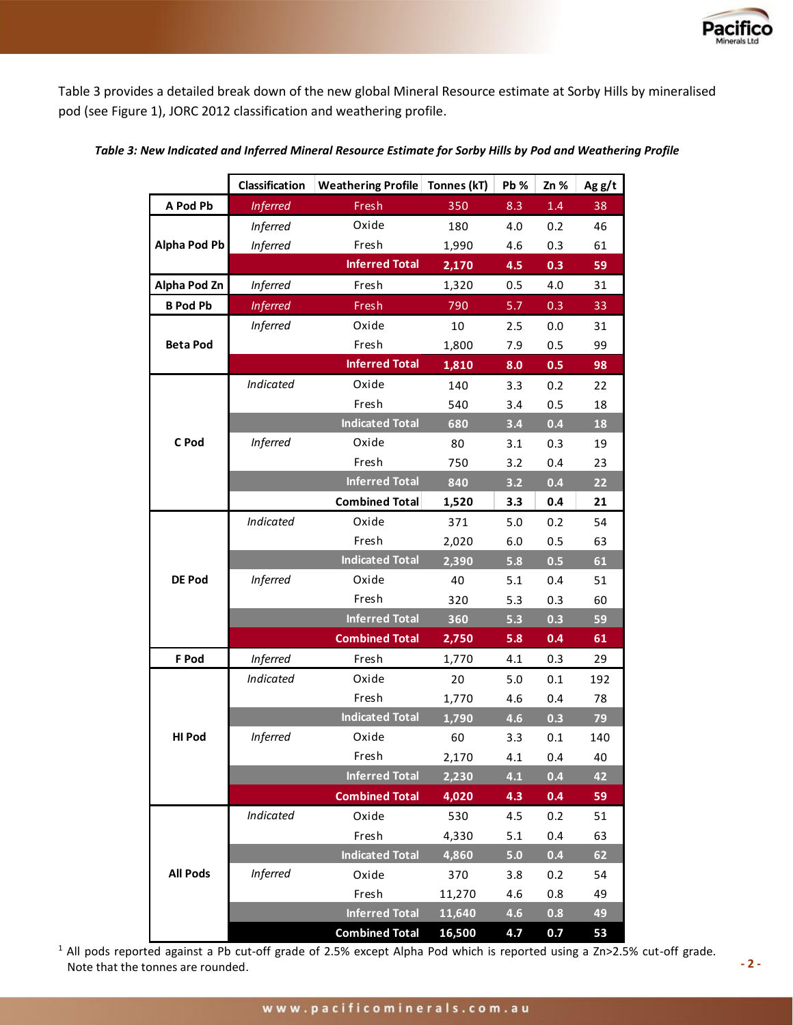

Table 3 provides a detailed break down of the new global Mineral Resource estimate at Sorby Hills by mineralised pod (see Figure 1), JORC 2012 classification and weathering profile.

|                     | Classification   | <b>Weathering Profile   Tonnes (kT)</b> |        | Pb %    | Zn %    | Agg/t |
|---------------------|------------------|-----------------------------------------|--------|---------|---------|-------|
| A Pod Pb            | <b>Inferred</b>  | Fresh                                   | 350    | 8.3     | $1.4\,$ | 38    |
|                     | <b>Inferred</b>  | Oxide                                   | 180    | 4.0     | 0.2     | 46    |
| <b>Alpha Pod Pb</b> | <b>Inferred</b>  | Fresh                                   | 1,990  | 4.6     | 0.3     | 61    |
|                     |                  | <b>Inferred Total</b>                   | 2,170  | 4.5     | 0.3     | 59    |
| Alpha Pod Zn        | <b>Inferred</b>  | Fresh                                   | 1,320  | 0.5     | 4.0     | 31    |
| <b>B</b> Pod Pb     | <b>Inferred</b>  | Fresh                                   | 790    | 5.7     | 0.3     | 33    |
|                     | <b>Inferred</b>  | Oxide                                   | $10\,$ | 2.5     | 0.0     | 31    |
| <b>Beta Pod</b>     |                  | Fresh                                   | 1,800  | 7.9     | 0.5     | 99    |
|                     |                  | <b>Inferred Total</b>                   | 1,810  | 8.0     | 0.5     | 98    |
|                     | Indicated        | Oxide                                   | 140    | 3.3     | 0.2     | 22    |
|                     |                  | Fresh                                   | 540    | 3.4     | 0.5     | 18    |
|                     |                  | <b>Indicated Total</b>                  | 680    | 3.4     | 0.4     | 18    |
| C Pod               | <b>Inferred</b>  | Oxide                                   | 80     | 3.1     | 0.3     | 19    |
|                     |                  | Fresh                                   | 750    | 3.2     | 0.4     | 23    |
|                     |                  | <b>Inferred Total</b>                   | 840    | 3.2     | 0.4     | 22    |
|                     |                  | <b>Combined Total</b>                   | 1,520  | 3.3     | 0.4     | 21    |
|                     | <b>Indicated</b> | Oxide                                   | 371    | $5.0$   | 0.2     | 54    |
|                     |                  | Fresh                                   | 2,020  | $6.0\,$ | 0.5     | 63    |
|                     |                  | <b>Indicated Total</b>                  | 2,390  | 5.8     | 0.5     | 61    |
| <b>DE Pod</b>       | <b>Inferred</b>  | Oxide                                   | 40     | 5.1     | 0.4     | 51    |
|                     |                  | Fresh                                   | 320    | 5.3     | 0.3     | 60    |
|                     |                  | <b>Inferred Total</b>                   | 360    | 5.3     | 0.3     | 59    |
|                     |                  | <b>Combined Total</b>                   | 2,750  | 5.8     | 0.4     | 61    |
| F Pod               | <b>Inferred</b>  | Fresh                                   | 1,770  | 4.1     | 0.3     | 29    |
|                     | Indicated        | Oxide                                   | 20     | $5.0$   | 0.1     | 192   |
|                     |                  | Fresh                                   | 1,770  | 4.6     | 0.4     | 78    |
|                     |                  | <b>Indicated Total</b>                  | 1,790  | 4.6     | 0.3     | 79    |
| <b>HI Pod</b>       | <b>Inferred</b>  | Oxide                                   | 60     | 3.3     | $0.1\,$ | 140   |
|                     |                  | Fresh                                   | 2,170  | 4.1     | 0.4     | 40    |
|                     |                  | <b>Inferred Total</b>                   | 2,230  | 4.1     | 0.4     | 42    |
|                     |                  | <b>Combined Total</b>                   | 4,020  | 4.3     | 0.4     | 59    |
|                     | <b>Indicated</b> | Oxide                                   | 530    | 4.5     | 0.2     | 51    |
|                     |                  | Fresh                                   | 4,330  | $5.1$   | 0.4     | 63    |
|                     |                  | <b>Indicated Total</b>                  | 4,860  | 5.0     | 0.4     | 62    |
| <b>All Pods</b>     | <b>Inferred</b>  | Oxide                                   | 370    | 3.8     | 0.2     | 54    |
|                     |                  | Fresh                                   | 11,270 | 4.6     | 0.8     | 49    |
|                     |                  | <b>Inferred Total</b>                   | 11,640 | 4.6     | 0.8     | 49    |
|                     |                  | <b>Combined Total</b>                   | 16,500 | 4.7     | 0.7     | 53    |

## *Table 3: New Indicated and Inferred Mineral Resource Estimate for Sorby Hills by Pod and Weathering Profile*

Note that the tonnes are rounded.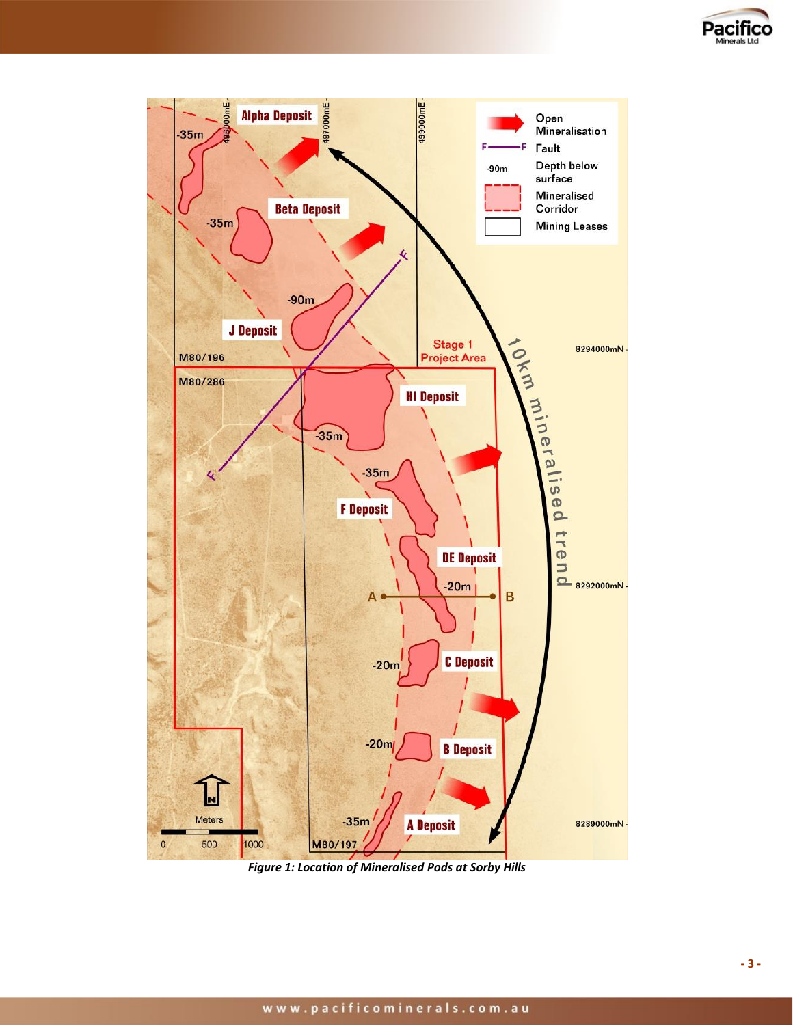

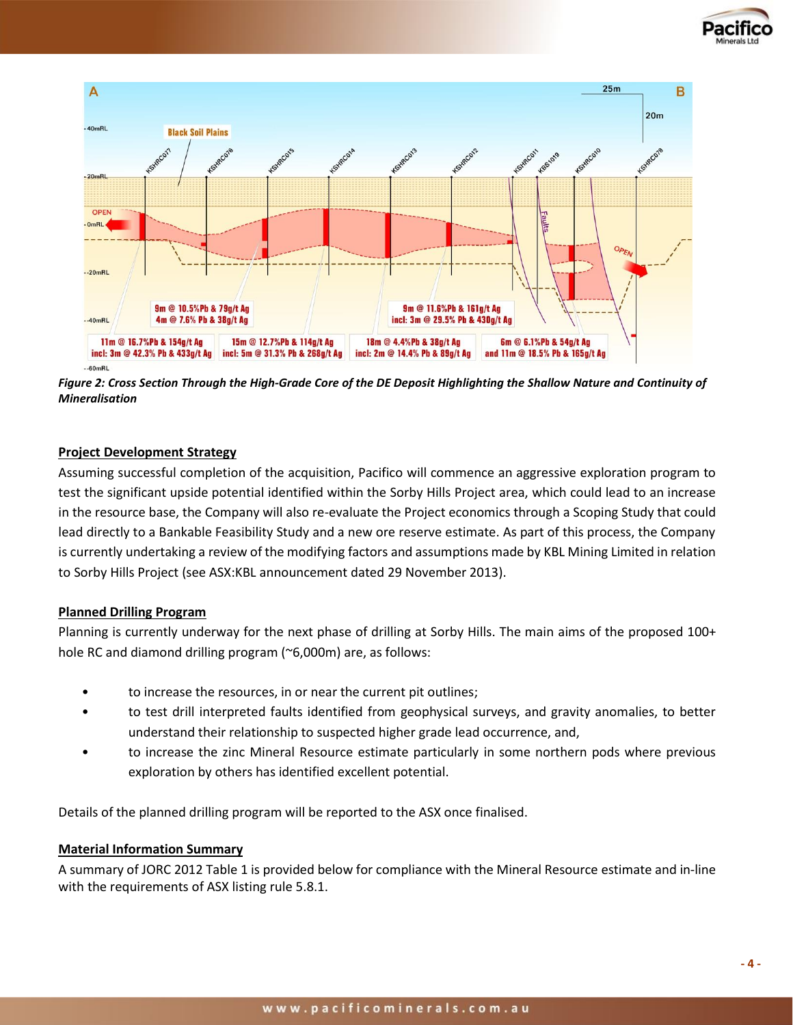



*Figure 2: Cross Section Through the High-Grade Core of the DE Deposit Highlighting the Shallow Nature and Continuity of Mineralisation*

## **Project Development Strategy**

Assuming successful completion of the acquisition, Pacifico will commence an aggressive exploration program to test the significant upside potential identified within the Sorby Hills Project area, which could lead to an increase in the resource base, the Company will also re-evaluate the Project economics through a Scoping Study that could lead directly to a Bankable Feasibility Study and a new ore reserve estimate. As part of this process, the Company is currently undertaking a review of the modifying factors and assumptions made by KBL Mining Limited in relation to Sorby Hills Project (see ASX:KBL announcement dated 29 November 2013).

## **Planned Drilling Program**

Planning is currently underway for the next phase of drilling at Sorby Hills. The main aims of the proposed 100+ hole RC and diamond drilling program (~6,000m) are, as follows:

- to increase the resources, in or near the current pit outlines;
- to test drill interpreted faults identified from geophysical surveys, and gravity anomalies, to better understand their relationship to suspected higher grade lead occurrence, and,
- to increase the zinc Mineral Resource estimate particularly in some northern pods where previous exploration by others has identified excellent potential.

Details of the planned drilling program will be reported to the ASX once finalised.

## **Material Information Summary**

A summary of JORC 2012 Table 1 is provided below for compliance with the Mineral Resource estimate and in-line with the requirements of ASX listing rule 5.8.1.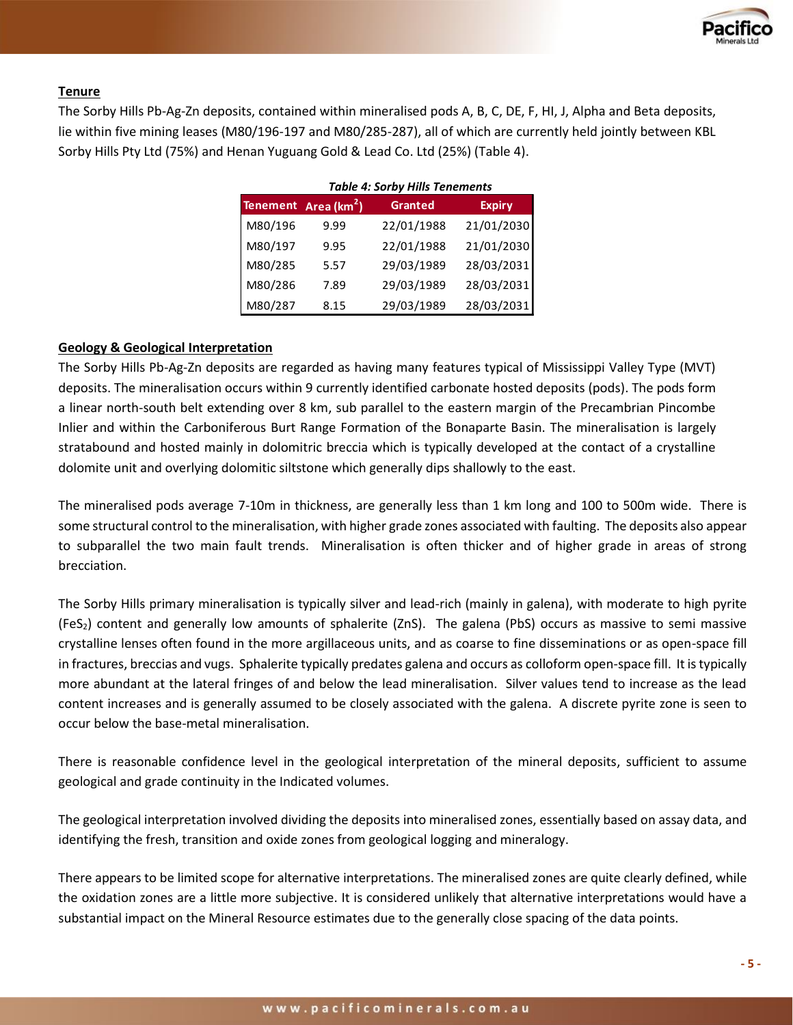

## **Tenure**

The Sorby Hills Pb-Ag-Zn deposits, contained within mineralised pods A, B, C, DE, F, HI, J, Alpha and Beta deposits, lie within five mining leases (M80/196-197 and M80/285-287), all of which are currently held jointly between KBL Sorby Hills Pty Ltd (75%) and Henan Yuguang Gold & Lead Co. Ltd (25%) (Table 4).

|         | <b>Table 4: Sorby Hills Tenements</b> |                |               |  |  |  |  |
|---------|---------------------------------------|----------------|---------------|--|--|--|--|
|         | Tenement Area (km <sup>2</sup> )      | <b>Granted</b> | <b>Expiry</b> |  |  |  |  |
| M80/196 | 9.99                                  | 22/01/1988     | 21/01/2030    |  |  |  |  |
| M80/197 | 9.95                                  | 22/01/1988     | 21/01/2030    |  |  |  |  |
| M80/285 | 5.57                                  | 29/03/1989     | 28/03/2031    |  |  |  |  |
| M80/286 | 7.89                                  | 29/03/1989     | 28/03/2031    |  |  |  |  |
| M80/287 | 8.15                                  | 29/03/1989     | 28/03/2031    |  |  |  |  |

## **Geology & Geological Interpretation**

The Sorby Hills Pb-Ag-Zn deposits are regarded as having many features typical of Mississippi Valley Type (MVT) deposits. The mineralisation occurs within 9 currently identified carbonate hosted deposits (pods). The pods form a linear north-south belt extending over 8 km, sub parallel to the eastern margin of the Precambrian Pincombe Inlier and within the Carboniferous Burt Range Formation of the Bonaparte Basin. The mineralisation is largely stratabound and hosted mainly in dolomitric breccia which is typically developed at the contact of a crystalline dolomite unit and overlying dolomitic siltstone which generally dips shallowly to the east.

The mineralised pods average 7-10m in thickness, are generally less than 1 km long and 100 to 500m wide. There is some structural control to the mineralisation, with higher grade zones associated with faulting. The deposits also appear to subparallel the two main fault trends. Mineralisation is often thicker and of higher grade in areas of strong brecciation.

The Sorby Hills primary mineralisation is typically silver and lead-rich (mainly in galena), with moderate to high pyrite (FeS2) content and generally low amounts of sphalerite (ZnS). The galena (PbS) occurs as massive to semi massive crystalline lenses often found in the more argillaceous units, and as coarse to fine disseminations or as open-space fill in fractures, breccias and vugs. Sphalerite typically predates galena and occurs as colloform open-space fill. It is typically more abundant at the lateral fringes of and below the lead mineralisation. Silver values tend to increase as the lead content increases and is generally assumed to be closely associated with the galena. A discrete pyrite zone is seen to occur below the base-metal mineralisation.

There is reasonable confidence level in the geological interpretation of the mineral deposits, sufficient to assume geological and grade continuity in the Indicated volumes.

The geological interpretation involved dividing the deposits into mineralised zones, essentially based on assay data, and identifying the fresh, transition and oxide zones from geological logging and mineralogy.

There appears to be limited scope for alternative interpretations. The mineralised zones are quite clearly defined, while the oxidation zones are a little more subjective. It is considered unlikely that alternative interpretations would have a substantial impact on the Mineral Resource estimates due to the generally close spacing of the data points.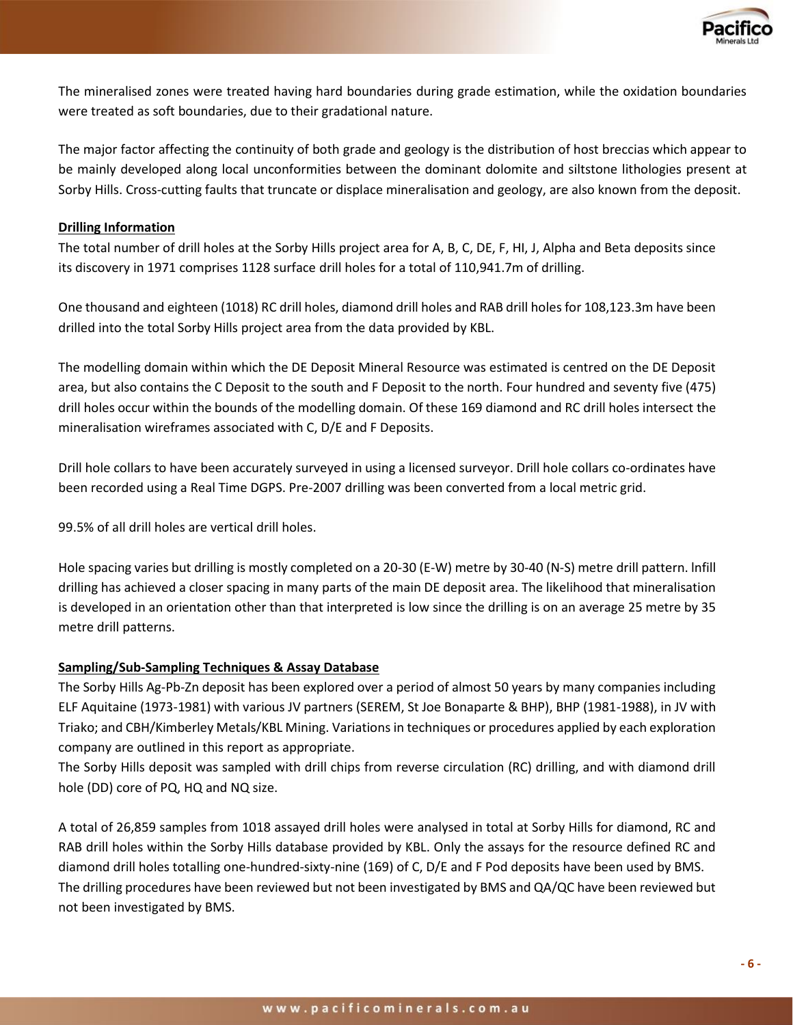

The mineralised zones were treated having hard boundaries during grade estimation, while the oxidation boundaries were treated as soft boundaries, due to their gradational nature.

The major factor affecting the continuity of both grade and geology is the distribution of host breccias which appear to be mainly developed along local unconformities between the dominant dolomite and siltstone lithologies present at Sorby Hills. Cross-cutting faults that truncate or displace mineralisation and geology, are also known from the deposit.

## **Drilling Information**

The total number of drill holes at the Sorby Hills project area for A, B, C, DE, F, HI, J, Alpha and Beta deposits since its discovery in 1971 comprises 1128 surface drill holes for a total of 110,941.7m of drilling.

One thousand and eighteen (1018) RC drill holes, diamond drill holes and RAB drill holes for 108,123.3m have been drilled into the total Sorby Hills project area from the data provided by KBL.

The modelling domain within which the DE Deposit Mineral Resource was estimated is centred on the DE Deposit area, but also contains the C Deposit to the south and F Deposit to the north. Four hundred and seventy five (475) drill holes occur within the bounds of the modelling domain. Of these 169 diamond and RC drill holes intersect the mineralisation wireframes associated with C, D/E and F Deposits.

Drill hole collars to have been accurately surveyed in using a licensed surveyor. Drill hole collars co-ordinates have been recorded using a Real Time DGPS. Pre-2007 drilling was been converted from a local metric grid.

99.5% of all drill holes are vertical drill holes.

Hole spacing varies but drilling is mostly completed on a 20-30 (E-W) metre by 30-40 (N-S) metre drill pattern. lnfill drilling has achieved a closer spacing in many parts of the main DE deposit area. The likelihood that mineralisation is developed in an orientation other than that interpreted is low since the drilling is on an average 25 metre by 35 metre drill patterns.

## **Sampling/Sub-Sampling Techniques & Assay Database**

The Sorby Hills Ag-Pb-Zn deposit has been explored over a period of almost 50 years by many companies including ELF Aquitaine (1973-1981) with various JV partners (SEREM, St Joe Bonaparte & BHP), BHP (1981-1988), in JV with Triako; and CBH/Kimberley Metals/KBL Mining. Variations in techniques or procedures applied by each exploration company are outlined in this report as appropriate.

The Sorby Hills deposit was sampled with drill chips from reverse circulation (RC) drilling, and with diamond drill hole (DD) core of PQ, HQ and NQ size.

A total of 26,859 samples from 1018 assayed drill holes were analysed in total at Sorby Hills for diamond, RC and RAB drill holes within the Sorby Hills database provided by KBL. Only the assays for the resource defined RC and diamond drill holes totalling one-hundred-sixty-nine (169) of C, D/E and F Pod deposits have been used by BMS. The drilling procedures have been reviewed but not been investigated by BMS and QA/QC have been reviewed but not been investigated by BMS.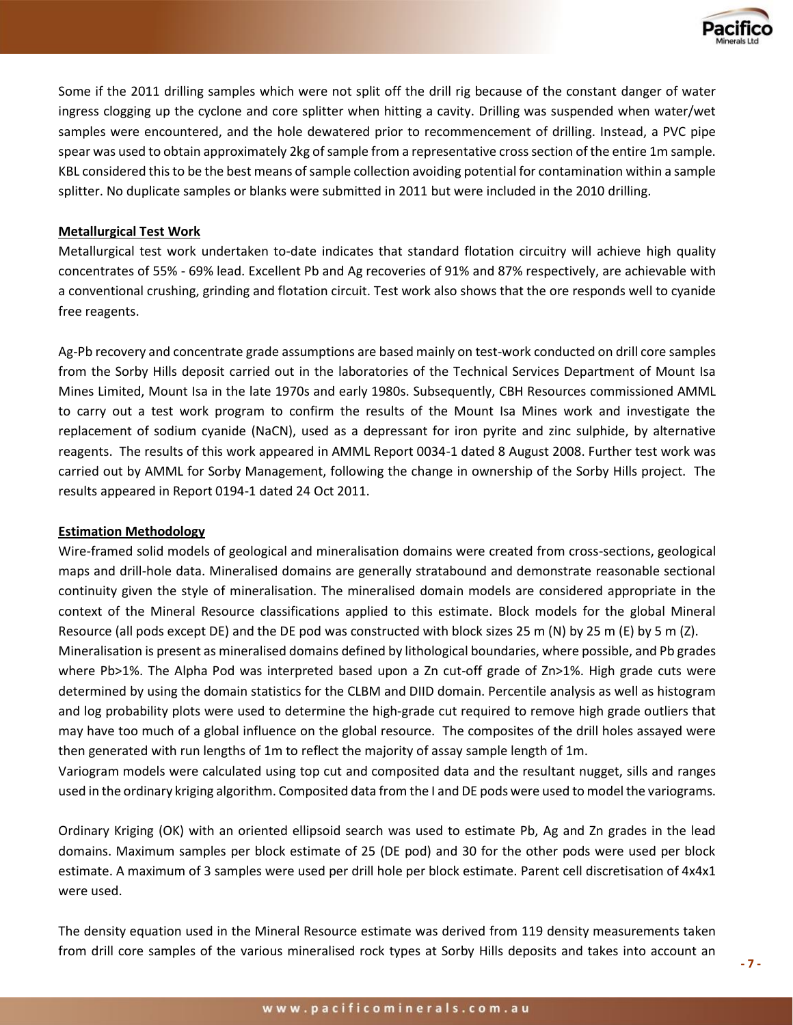

Some if the 2011 drilling samples which were not split off the drill rig because of the constant danger of water ingress clogging up the cyclone and core splitter when hitting a cavity. Drilling was suspended when water/wet samples were encountered, and the hole dewatered prior to recommencement of drilling. Instead, a PVC pipe spear was used to obtain approximately 2kg of sample from a representative cross section of the entire 1m sample. KBL considered this to be the best means of sample collection avoiding potential for contamination within a sample splitter. No duplicate samples or blanks were submitted in 2011 but were included in the 2010 drilling.

## **Metallurgical Test Work**

Metallurgical test work undertaken to-date indicates that standard flotation circuitry will achieve high quality concentrates of 55% - 69% lead. Excellent Pb and Ag recoveries of 91% and 87% respectively, are achievable with a conventional crushing, grinding and flotation circuit. Test work also shows that the ore responds well to cyanide free reagents.

Ag-Pb recovery and concentrate grade assumptions are based mainly on test-work conducted on drill core samples from the Sorby Hills deposit carried out in the laboratories of the Technical Services Department of Mount Isa Mines Limited, Mount Isa in the late 1970s and early 1980s. Subsequently, CBH Resources commissioned AMML to carry out a test work program to confirm the results of the Mount Isa Mines work and investigate the replacement of sodium cyanide (NaCN), used as a depressant for iron pyrite and zinc sulphide, by alternative reagents. The results of this work appeared in AMML Report 0034-1 dated 8 August 2008. Further test work was carried out by AMML for Sorby Management, following the change in ownership of the Sorby Hills project. The results appeared in Report 0194-1 dated 24 Oct 2011.

## **Estimation Methodology**

Wire-framed solid models of geological and mineralisation domains were created from cross-sections, geological maps and drill-hole data. Mineralised domains are generally stratabound and demonstrate reasonable sectional continuity given the style of mineralisation. The mineralised domain models are considered appropriate in the context of the Mineral Resource classifications applied to this estimate. Block models for the global Mineral Resource (all pods except DE) and the DE pod was constructed with block sizes 25 m (N) by 25 m (E) by 5 m (Z).

Mineralisation is present as mineralised domains defined by lithological boundaries, where possible, and Pb grades where Pb>1%. The Alpha Pod was interpreted based upon a Zn cut-off grade of Zn>1%. High grade cuts were determined by using the domain statistics for the CLBM and DIID domain. Percentile analysis as well as histogram and log probability plots were used to determine the high-grade cut required to remove high grade outliers that may have too much of a global influence on the global resource. The composites of the drill holes assayed were then generated with run lengths of 1m to reflect the majority of assay sample length of 1m.

Variogram models were calculated using top cut and composited data and the resultant nugget, sills and ranges used in the ordinary kriging algorithm. Composited data from the I and DE pods were used to model the variograms.

Ordinary Kriging (OK) with an oriented ellipsoid search was used to estimate Pb, Ag and Zn grades in the lead domains. Maximum samples per block estimate of 25 (DE pod) and 30 for the other pods were used per block estimate. A maximum of 3 samples were used per drill hole per block estimate. Parent cell discretisation of 4x4x1 were used.

The density equation used in the Mineral Resource estimate was derived from 119 density measurements taken from drill core samples of the various mineralised rock types at Sorby Hills deposits and takes into account an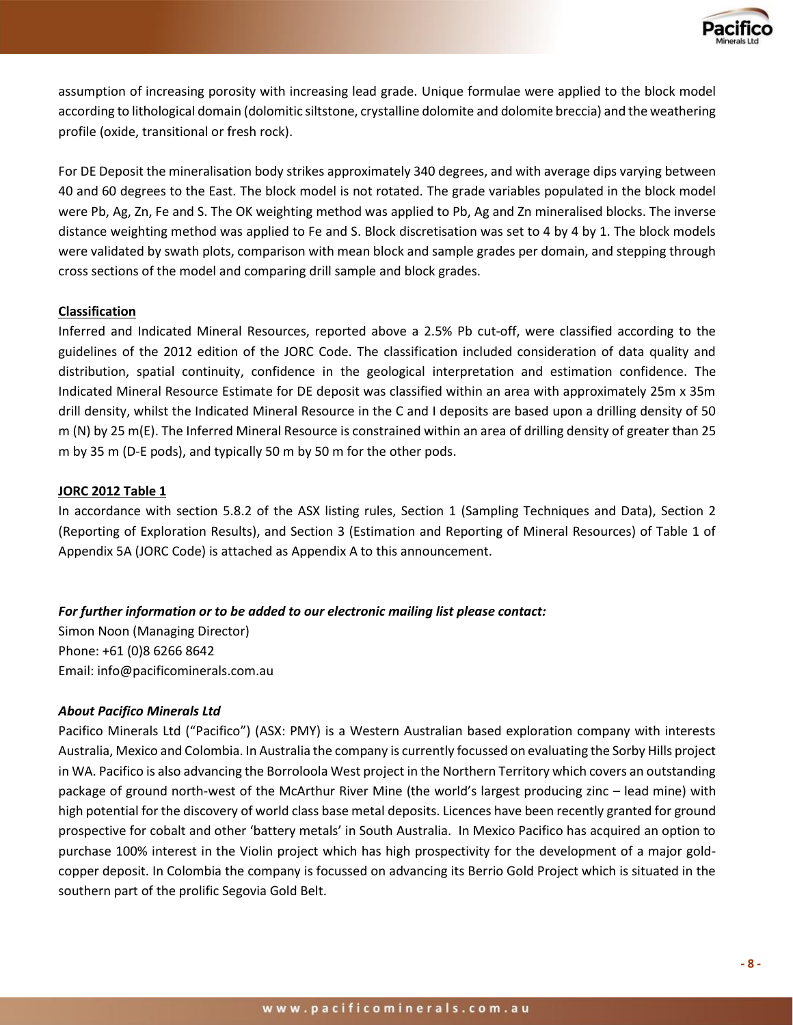

assumption of increasing porosity with increasing lead grade. Unique formulae were applied to the block model according to lithological domain (dolomitic siltstone, crystalline dolomite and dolomite breccia) and the weathering profile (oxide, transitional or fresh rock).

For DE Deposit the mineralisation body strikes approximately 340 degrees, and with average dips varying between 40 and 60 degrees to the East. The block model is not rotated. The grade variables populated in the block model were Pb, Ag, Zn, Fe and S. The OK weighting method was applied to Pb, Ag and Zn mineralised blocks. The inverse distance weighting method was applied to Fe and S. Block discretisation was set to 4 by 4 by 1. The block models were validated by swath plots, comparison with mean block and sample grades per domain, and stepping through cross sections of the model and comparing drill sample and block grades.

## **Classification**

Inferred and Indicated Mineral Resources, reported above a 2.5% Pb cut-off, were classified according to the guidelines of the 2012 edition of the JORC Code. The classification included consideration of data quality and distribution, spatial continuity, confidence in the geological interpretation and estimation confidence. The Indicated Mineral Resource Estimate for DE deposit was classified within an area with approximately 25m x 35m drill density, whilst the Indicated Mineral Resource in the C and I deposits are based upon a drilling density of 50 m (N) by 25 m(E). The Inferred Mineral Resource is constrained within an area of drilling density of greater than 25 m by 35 m (D-E pods), and typically 50 m by 50 m for the other pods.

## **JORC 2012 Table 1**

In accordance with section 5.8.2 of the ASX listing rules, Section 1 (Sampling Techniques and Data), Section 2 (Reporting of Exploration Results), and Section 3 (Estimation and Reporting of Mineral Resources) of Table 1 of Appendix 5A (JORC Code) is attached as Appendix A to this announcement.

## *For further information or to be added to our electronic mailing list please contact:*

Simon Noon (Managing Director) Phone: +61 (0)8 6266 8642 Email: [info@pacificominerals.com.au](mailto:info@pacificominerals.com.au)

## *About Pacifico Minerals Ltd*

Pacifico Minerals Ltd ("Pacifico") (ASX: PMY) is a Western Australian based exploration company with interests Australia, Mexico and Colombia. In Australia the company is currently focussed on evaluating the Sorby Hills project in WA. Pacifico is also advancing the Borroloola West project in the Northern Territory which covers an outstanding package of ground north-west of the McArthur River Mine (the world's largest producing zinc – lead mine) with high potential for the discovery of world class base metal deposits. Licences have been recently granted for ground prospective for cobalt and other 'battery metals' in South Australia. In Mexico Pacifico has acquired an option to purchase 100% interest in the Violin project which has high prospectivity for the development of a major goldcopper deposit. In Colombia the company is focussed on advancing its Berrio Gold Project which is situated in the southern part of the prolific Segovia Gold Belt.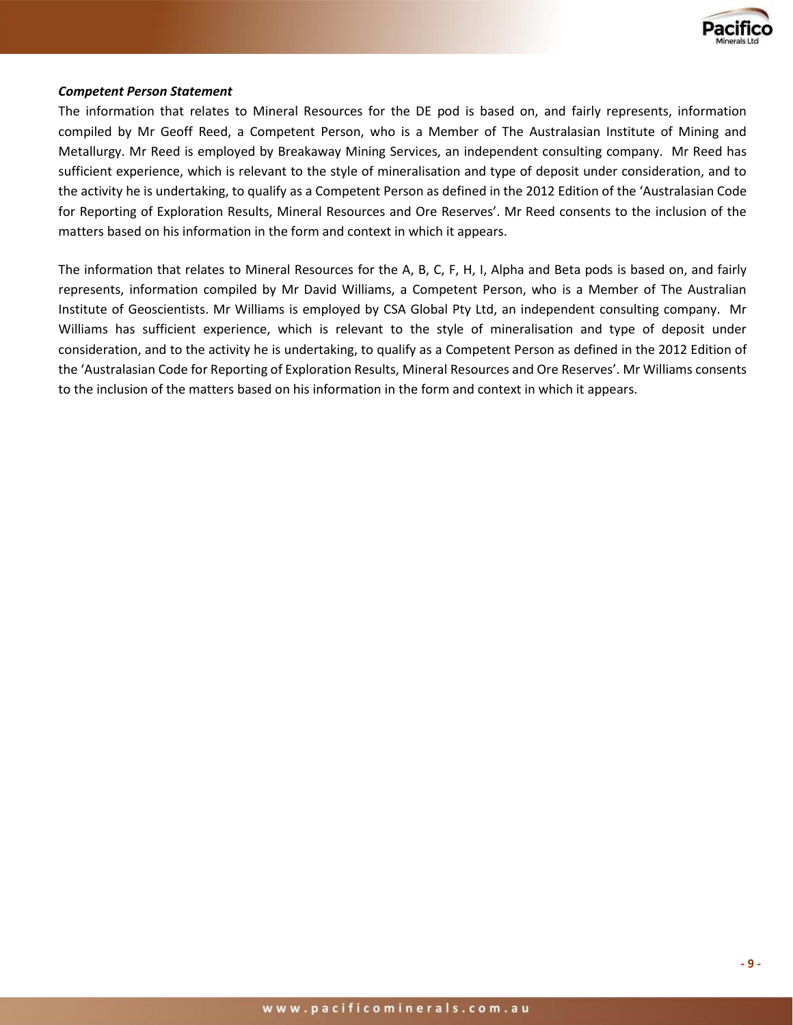

#### *Competent Person Statement*

The information that relates to Mineral Resources for the DE pod is based on, and fairly represents, information compiled by Mr Geoff Reed, a Competent Person, who is a Member of The Australasian Institute of Mining and Metallurgy. Mr Reed is employed by Breakaway Mining Services, an independent consulting company. Mr Reed has sufficient experience, which is relevant to the style of mineralisation and type of deposit under consideration, and to the activity he is undertaking, to qualify as a Competent Person as defined in the 2012 Edition of the 'Australasian Code for Reporting of Exploration Results, Mineral Resources and Ore Reserves'. Mr Reed consents to the inclusion of the matters based on his information in the form and context in which it appears.

The information that relates to Mineral Resources for the A, B, C, F, H, I, Alpha and Beta pods is based on, and fairly represents, information compiled by Mr David Williams, a Competent Person, who is a Member of The Australian Institute of Geoscientists. Mr Williams is employed by CSA Global Pty Ltd, an independent consulting company. Mr Williams has sufficient experience, which is relevant to the style of mineralisation and type of deposit under consideration, and to the activity he is undertaking, to qualify as a Competent Person as defined in the 2012 Edition of the 'Australasian Code for Reporting of Exploration Results, Mineral Resources and Ore Reserves'. Mr Williams consents to the inclusion of the matters based on his information in the form and context in which it appears.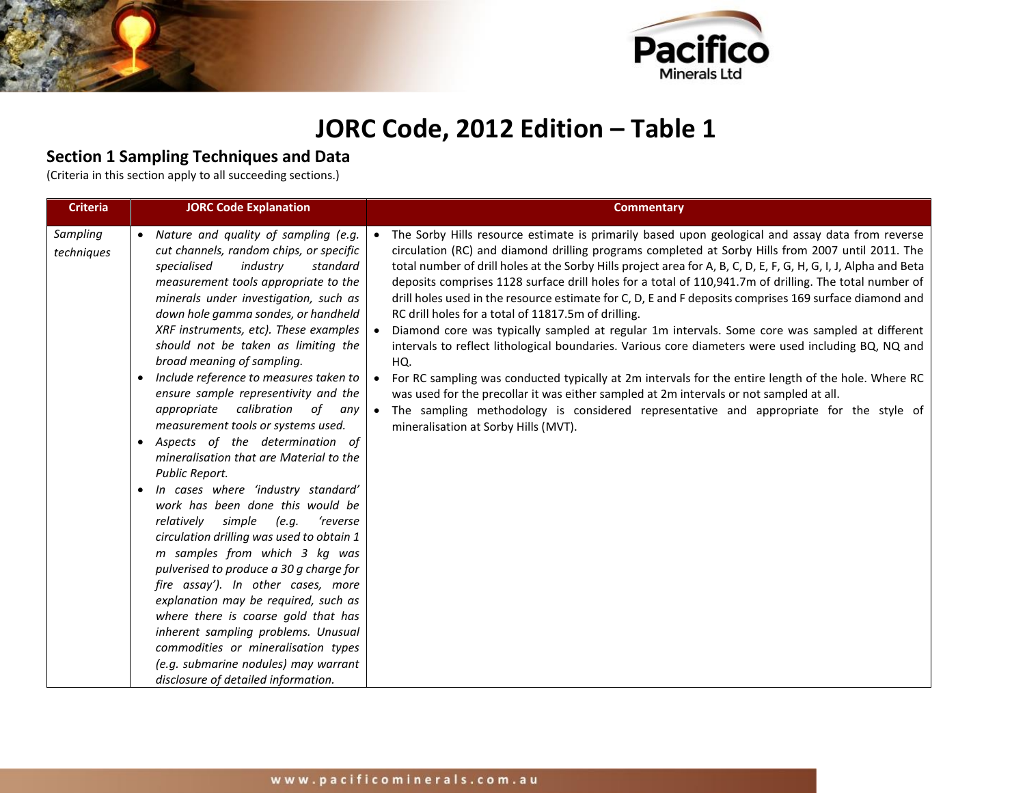

# **JORC Code, 2012 Edition – Table 1**

## **Section 1 Sampling Techniques and Data**

(Criteria in this section apply to all succeeding sections.)

| <b>Criteria</b>        | <b>JORC Code Explanation</b>                                                                                                                                                                                                                                                                                                                                                                                                                                                                                                                                                                                                                                                                                                                                                                                                                                                                                                                                                                                                                                                                                                                                                      | <b>Commentary</b>                                                                                                                                                                                                                                                                                                                                                                                                                                                                                                                                                                                                                                                                                                                                                                                                                                                                                                                                                                                                                                                                                                                                             |
|------------------------|-----------------------------------------------------------------------------------------------------------------------------------------------------------------------------------------------------------------------------------------------------------------------------------------------------------------------------------------------------------------------------------------------------------------------------------------------------------------------------------------------------------------------------------------------------------------------------------------------------------------------------------------------------------------------------------------------------------------------------------------------------------------------------------------------------------------------------------------------------------------------------------------------------------------------------------------------------------------------------------------------------------------------------------------------------------------------------------------------------------------------------------------------------------------------------------|---------------------------------------------------------------------------------------------------------------------------------------------------------------------------------------------------------------------------------------------------------------------------------------------------------------------------------------------------------------------------------------------------------------------------------------------------------------------------------------------------------------------------------------------------------------------------------------------------------------------------------------------------------------------------------------------------------------------------------------------------------------------------------------------------------------------------------------------------------------------------------------------------------------------------------------------------------------------------------------------------------------------------------------------------------------------------------------------------------------------------------------------------------------|
| Sampling<br>techniques | • Nature and quality of sampling (e.g.<br>cut channels, random chips, or specific<br>specialised<br>industry<br>standard<br>measurement tools appropriate to the<br>minerals under investigation, such as<br>down hole gamma sondes, or handheld<br>XRF instruments, etc). These examples<br>should not be taken as limiting the<br>broad meaning of sampling.<br>• Include reference to measures taken to<br>ensure sample representivity and the<br>appropriate<br>calibration<br>of<br>any<br>measurement tools or systems used.<br>• Aspects of the determination of<br>mineralisation that are Material to the<br>Public Report.<br>In cases where 'industry standard'<br>$\bullet$<br>work has been done this would be<br>relatively simple<br>(e.g.<br>'reverse<br>circulation drilling was used to obtain 1<br>m samples from which 3 kg was<br>pulverised to produce a 30 g charge for<br>fire assay'). In other cases, more<br>explanation may be required, such as<br>where there is coarse gold that has<br>inherent sampling problems. Unusual<br>commodities or mineralisation types<br>(e.g. submarine nodules) may warrant<br>disclosure of detailed information. | • The Sorby Hills resource estimate is primarily based upon geological and assay data from reverse<br>circulation (RC) and diamond drilling programs completed at Sorby Hills from 2007 until 2011. The<br>total number of drill holes at the Sorby Hills project area for A, B, C, D, E, F, G, H, G, I, J, Alpha and Beta<br>deposits comprises 1128 surface drill holes for a total of 110,941.7m of drilling. The total number of<br>drill holes used in the resource estimate for C, D, E and F deposits comprises 169 surface diamond and<br>RC drill holes for a total of 11817.5m of drilling.<br>Diamond core was typically sampled at regular 1m intervals. Some core was sampled at different<br>intervals to reflect lithological boundaries. Various core diameters were used including BQ, NQ and<br>HQ.<br>• For RC sampling was conducted typically at 2m intervals for the entire length of the hole. Where RC<br>was used for the precollar it was either sampled at 2m intervals or not sampled at all.<br>• The sampling methodology is considered representative and appropriate for the style of<br>mineralisation at Sorby Hills (MVT). |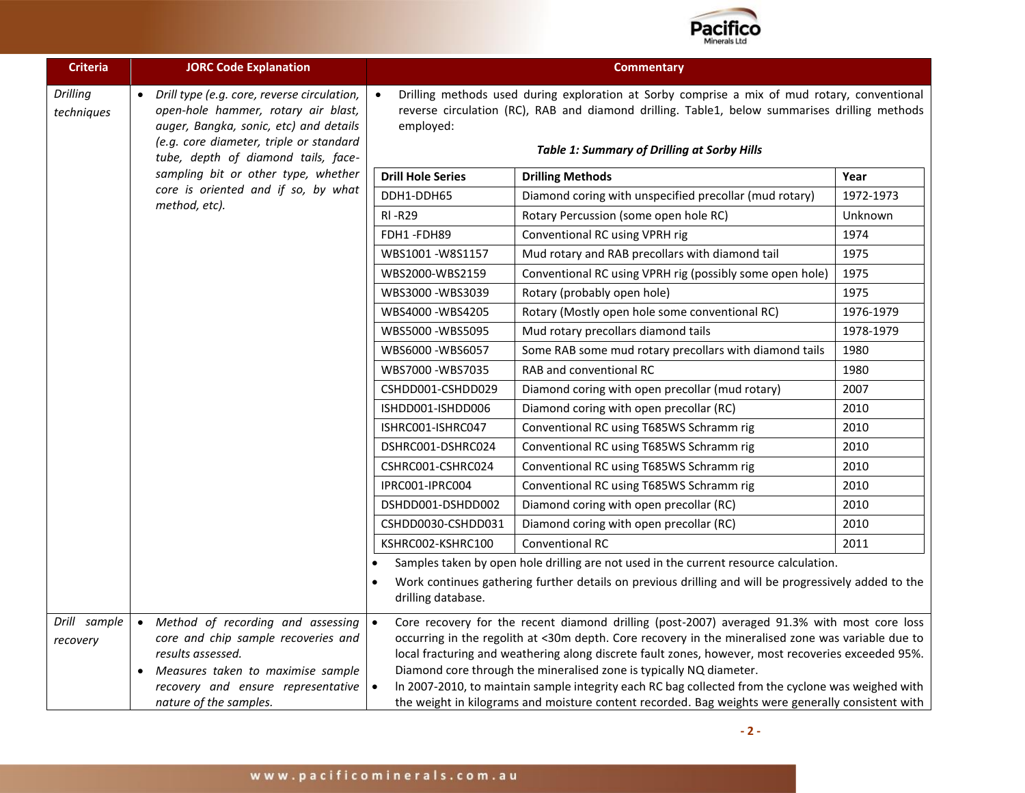

| <b>Criteria</b>               | <b>JORC Code Explanation</b>                                                                                                                                                                                   |                                                                                                                                                                                                                                                                                                                                                                                                                                                                                                                                                                                            | <b>Commentary</b>                                                                                                                                                                             |           |  |  |
|-------------------------------|----------------------------------------------------------------------------------------------------------------------------------------------------------------------------------------------------------------|--------------------------------------------------------------------------------------------------------------------------------------------------------------------------------------------------------------------------------------------------------------------------------------------------------------------------------------------------------------------------------------------------------------------------------------------------------------------------------------------------------------------------------------------------------------------------------------------|-----------------------------------------------------------------------------------------------------------------------------------------------------------------------------------------------|-----------|--|--|
| <b>Drilling</b><br>techniques | Drill type (e.g. core, reverse circulation,<br>open-hole hammer, rotary air blast,<br>auger, Bangka, sonic, etc) and details<br>(e.g. core diameter, triple or standard<br>tube, depth of diamond tails, face- | Drilling methods used during exploration at Sorby comprise a mix of mud rotary, conventional<br>reverse circulation (RC), RAB and diamond drilling. Table1, below summarises drilling methods<br>employed:<br><b>Table 1: Summary of Drilling at Sorby Hills</b>                                                                                                                                                                                                                                                                                                                           |                                                                                                                                                                                               |           |  |  |
|                               | sampling bit or other type, whether                                                                                                                                                                            | <b>Drill Hole Series</b>                                                                                                                                                                                                                                                                                                                                                                                                                                                                                                                                                                   | <b>Drilling Methods</b>                                                                                                                                                                       | Year      |  |  |
|                               | core is oriented and if so, by what                                                                                                                                                                            | DDH1-DDH65                                                                                                                                                                                                                                                                                                                                                                                                                                                                                                                                                                                 | Diamond coring with unspecified precollar (mud rotary)                                                                                                                                        | 1972-1973 |  |  |
|                               | method, etc).                                                                                                                                                                                                  | <b>RI-R29</b>                                                                                                                                                                                                                                                                                                                                                                                                                                                                                                                                                                              | Rotary Percussion (some open hole RC)                                                                                                                                                         | Unknown   |  |  |
|                               |                                                                                                                                                                                                                | FDH1-FDH89                                                                                                                                                                                                                                                                                                                                                                                                                                                                                                                                                                                 | Conventional RC using VPRH rig                                                                                                                                                                | 1974      |  |  |
|                               |                                                                                                                                                                                                                | WBS1001-W8S1157                                                                                                                                                                                                                                                                                                                                                                                                                                                                                                                                                                            | Mud rotary and RAB precollars with diamond tail                                                                                                                                               | 1975      |  |  |
|                               |                                                                                                                                                                                                                | WBS2000-WBS2159                                                                                                                                                                                                                                                                                                                                                                                                                                                                                                                                                                            | Conventional RC using VPRH rig (possibly some open hole)                                                                                                                                      | 1975      |  |  |
|                               |                                                                                                                                                                                                                | WBS3000-WBS3039                                                                                                                                                                                                                                                                                                                                                                                                                                                                                                                                                                            | Rotary (probably open hole)                                                                                                                                                                   | 1975      |  |  |
|                               |                                                                                                                                                                                                                | WBS4000-WBS4205                                                                                                                                                                                                                                                                                                                                                                                                                                                                                                                                                                            | Rotary (Mostly open hole some conventional RC)                                                                                                                                                | 1976-1979 |  |  |
|                               |                                                                                                                                                                                                                | WBS5000 - WBS5095                                                                                                                                                                                                                                                                                                                                                                                                                                                                                                                                                                          | Mud rotary precollars diamond tails                                                                                                                                                           | 1978-1979 |  |  |
|                               |                                                                                                                                                                                                                | WBS6000-WBS6057                                                                                                                                                                                                                                                                                                                                                                                                                                                                                                                                                                            | Some RAB some mud rotary precollars with diamond tails                                                                                                                                        | 1980      |  |  |
|                               |                                                                                                                                                                                                                | WBS7000 - WBS7035                                                                                                                                                                                                                                                                                                                                                                                                                                                                                                                                                                          | RAB and conventional RC                                                                                                                                                                       | 1980      |  |  |
|                               |                                                                                                                                                                                                                | CSHDD001-CSHDD029                                                                                                                                                                                                                                                                                                                                                                                                                                                                                                                                                                          | Diamond coring with open precollar (mud rotary)                                                                                                                                               | 2007      |  |  |
|                               |                                                                                                                                                                                                                | ISHDD001-ISHDD006                                                                                                                                                                                                                                                                                                                                                                                                                                                                                                                                                                          | Diamond coring with open precollar (RC)                                                                                                                                                       | 2010      |  |  |
|                               |                                                                                                                                                                                                                | ISHRC001-ISHRC047                                                                                                                                                                                                                                                                                                                                                                                                                                                                                                                                                                          | Conventional RC using T685WS Schramm rig                                                                                                                                                      | 2010      |  |  |
|                               |                                                                                                                                                                                                                | DSHRC001-DSHRC024                                                                                                                                                                                                                                                                                                                                                                                                                                                                                                                                                                          | Conventional RC using T685WS Schramm rig                                                                                                                                                      | 2010      |  |  |
|                               |                                                                                                                                                                                                                | CSHRC001-CSHRC024                                                                                                                                                                                                                                                                                                                                                                                                                                                                                                                                                                          | Conventional RC using T685WS Schramm rig                                                                                                                                                      | 2010      |  |  |
|                               |                                                                                                                                                                                                                | IPRC001-IPRC004                                                                                                                                                                                                                                                                                                                                                                                                                                                                                                                                                                            | Conventional RC using T685WS Schramm rig                                                                                                                                                      | 2010      |  |  |
|                               |                                                                                                                                                                                                                | DSHDD001-DSHDD002                                                                                                                                                                                                                                                                                                                                                                                                                                                                                                                                                                          | Diamond coring with open precollar (RC)                                                                                                                                                       | 2010      |  |  |
|                               |                                                                                                                                                                                                                | CSHDD0030-CSHDD031                                                                                                                                                                                                                                                                                                                                                                                                                                                                                                                                                                         | Diamond coring with open precollar (RC)                                                                                                                                                       | 2010      |  |  |
|                               |                                                                                                                                                                                                                | KSHRC002-KSHRC100                                                                                                                                                                                                                                                                                                                                                                                                                                                                                                                                                                          | <b>Conventional RC</b>                                                                                                                                                                        | 2011      |  |  |
|                               |                                                                                                                                                                                                                | drilling database.                                                                                                                                                                                                                                                                                                                                                                                                                                                                                                                                                                         | Samples taken by open hole drilling are not used in the current resource calculation.<br>Work continues gathering further details on previous drilling and will be progressively added to the |           |  |  |
| Drill sample<br>recovery      | • Method of recording and assessing<br>core and chip sample recoveries and<br>results assessed.<br>Measures taken to maximise sample<br>recovery and ensure representative<br>nature of the samples.           | Core recovery for the recent diamond drilling (post-2007) averaged 91.3% with most core loss<br>occurring in the regolith at <30m depth. Core recovery in the mineralised zone was variable due to<br>local fracturing and weathering along discrete fault zones, however, most recoveries exceeded 95%.<br>Diamond core through the mineralised zone is typically NQ diameter.<br>In 2007-2010, to maintain sample integrity each RC bag collected from the cyclone was weighed with<br>the weight in kilograms and moisture content recorded. Bag weights were generally consistent with |                                                                                                                                                                                               |           |  |  |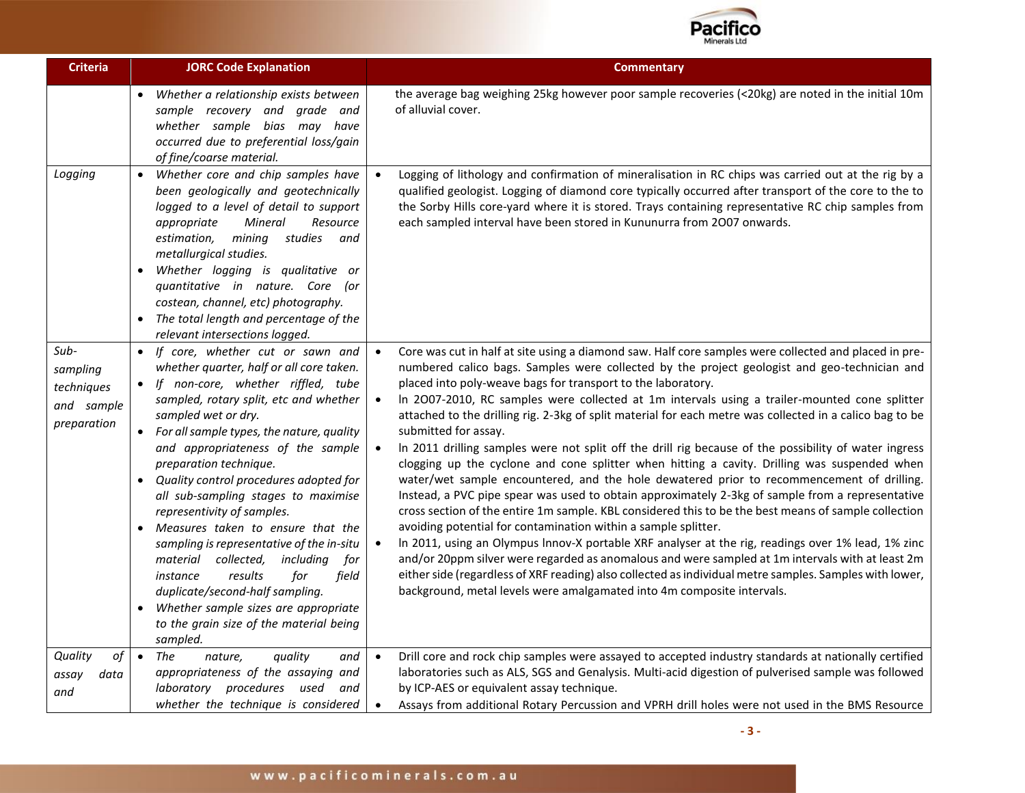

| <b>Criteria</b>                                             | <b>JORC Code Explanation</b>                                                                                                                                                                                                                                                                                                                                                                                                                                                                                                                                                                                                                                                                                                            | <b>Commentary</b>                                                                                                                                                                                                                                                                                                                                                                                                                                                                                                                                                                                                                                                                                                                                                                                                                                                                                                                                                                                                                                                                                                                                                                                                                                                                                                                                                                                                                                                                                                                                 |
|-------------------------------------------------------------|-----------------------------------------------------------------------------------------------------------------------------------------------------------------------------------------------------------------------------------------------------------------------------------------------------------------------------------------------------------------------------------------------------------------------------------------------------------------------------------------------------------------------------------------------------------------------------------------------------------------------------------------------------------------------------------------------------------------------------------------|---------------------------------------------------------------------------------------------------------------------------------------------------------------------------------------------------------------------------------------------------------------------------------------------------------------------------------------------------------------------------------------------------------------------------------------------------------------------------------------------------------------------------------------------------------------------------------------------------------------------------------------------------------------------------------------------------------------------------------------------------------------------------------------------------------------------------------------------------------------------------------------------------------------------------------------------------------------------------------------------------------------------------------------------------------------------------------------------------------------------------------------------------------------------------------------------------------------------------------------------------------------------------------------------------------------------------------------------------------------------------------------------------------------------------------------------------------------------------------------------------------------------------------------------------|
|                                                             | Whether a relationship exists between<br>sample recovery and grade and<br>whether sample bias may have<br>occurred due to preferential loss/gain<br>of fine/coarse material.                                                                                                                                                                                                                                                                                                                                                                                                                                                                                                                                                            | the average bag weighing 25kg however poor sample recoveries (<20kg) are noted in the initial 10m<br>of alluvial cover.                                                                                                                                                                                                                                                                                                                                                                                                                                                                                                                                                                                                                                                                                                                                                                                                                                                                                                                                                                                                                                                                                                                                                                                                                                                                                                                                                                                                                           |
| Logging                                                     | $\bullet$<br>Whether core and chip samples have<br>been geologically and geotechnically<br>logged to a level of detail to support<br>Mineral<br>appropriate<br>Resource<br>mining<br>studies<br>estimation,<br>and<br>metallurgical studies.<br>Whether logging is qualitative or<br>quantitative in nature. Core (or<br>costean, channel, etc) photography.<br>The total length and percentage of the<br>relevant intersections logged.                                                                                                                                                                                                                                                                                                | Logging of lithology and confirmation of mineralisation in RC chips was carried out at the rig by a<br>$\bullet$<br>qualified geologist. Logging of diamond core typically occurred after transport of the core to the to<br>the Sorby Hills core-yard where it is stored. Trays containing representative RC chip samples from<br>each sampled interval have been stored in Kununurra from 2007 onwards.                                                                                                                                                                                                                                                                                                                                                                                                                                                                                                                                                                                                                                                                                                                                                                                                                                                                                                                                                                                                                                                                                                                                         |
| Sub-<br>sampling<br>techniques<br>and sample<br>preparation | • If core, whether cut or sawn and<br>whether quarter, half or all core taken.<br>If non-core, whether riffled, tube<br>$\bullet$<br>sampled, rotary split, etc and whether<br>sampled wet or dry.<br>• For all sample types, the nature, quality<br>and appropriateness of the sample<br>preparation technique.<br>• Quality control procedures adopted for<br>all sub-sampling stages to maximise<br>representivity of samples.<br>Measures taken to ensure that the<br>sampling is representative of the in-situ<br>material collected,<br>including<br>for<br>results<br>for<br>field<br>instance<br>duplicate/second-half sampling.<br>Whether sample sizes are appropriate<br>to the grain size of the material being<br>sampled. | Core was cut in half at site using a diamond saw. Half core samples were collected and placed in pre-<br>$\bullet$<br>numbered calico bags. Samples were collected by the project geologist and geo-technician and<br>placed into poly-weave bags for transport to the laboratory.<br>In 2007-2010, RC samples were collected at 1m intervals using a trailer-mounted cone splitter<br>$\bullet$<br>attached to the drilling rig. 2-3kg of split material for each metre was collected in a calico bag to be<br>submitted for assay.<br>In 2011 drilling samples were not split off the drill rig because of the possibility of water ingress<br>$\bullet$<br>clogging up the cyclone and cone splitter when hitting a cavity. Drilling was suspended when<br>water/wet sample encountered, and the hole dewatered prior to recommencement of drilling.<br>Instead, a PVC pipe spear was used to obtain approximately 2-3kg of sample from a representative<br>cross section of the entire 1m sample. KBL considered this to be the best means of sample collection<br>avoiding potential for contamination within a sample splitter.<br>In 2011, using an Olympus Innov-X portable XRF analyser at the rig, readings over 1% lead, 1% zinc<br>$\bullet$<br>and/or 20ppm silver were regarded as anomalous and were sampled at 1m intervals with at least 2m<br>either side (regardless of XRF reading) also collected as individual metre samples. Samples with lower,<br>background, metal levels were amalgamated into 4m composite intervals. |
| of<br>Quality<br>data<br>assay<br>and                       | The<br>$\bullet$<br>nature,<br>quality<br>and<br>appropriateness of the assaying and<br>laboratory procedures used<br>and<br>whether the technique is considered                                                                                                                                                                                                                                                                                                                                                                                                                                                                                                                                                                        | Drill core and rock chip samples were assayed to accepted industry standards at nationally certified<br>$\bullet$<br>laboratories such as ALS, SGS and Genalysis. Multi-acid digestion of pulverised sample was followed<br>by ICP-AES or equivalent assay technique.<br>Assays from additional Rotary Percussion and VPRH drill holes were not used in the BMS Resource<br>$\bullet$                                                                                                                                                                                                                                                                                                                                                                                                                                                                                                                                                                                                                                                                                                                                                                                                                                                                                                                                                                                                                                                                                                                                                             |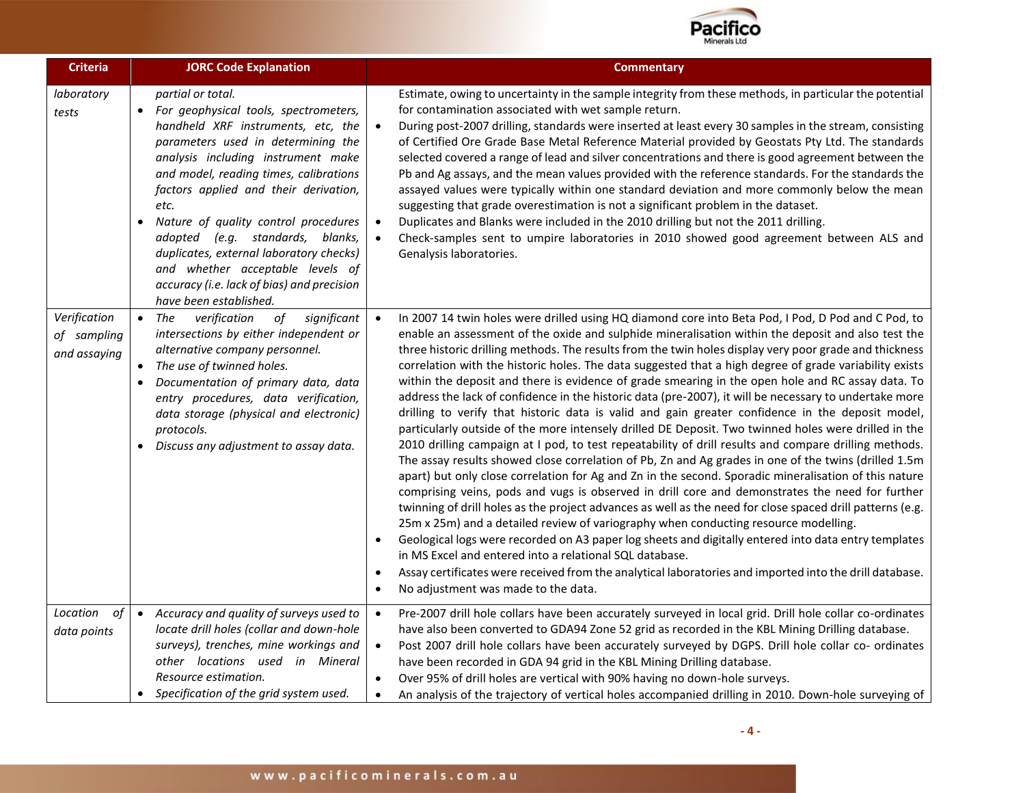

| <b>Criteria</b>                             | <b>JORC Code Explanation</b>                                                                                                                                                                                                                                                                                                                                                                                                                                                                                 | <b>Commentary</b>                                                                                                                                                                                                                                                                                                                                                                                                                                                                                                                                                                                                                                                                                                                                                                                                                                                                                                                                                                                                                                                                                                                                                                                                                                                                                                                                                                                                                                                                                                                                                                                                                                                                                                                                                                                                          |
|---------------------------------------------|--------------------------------------------------------------------------------------------------------------------------------------------------------------------------------------------------------------------------------------------------------------------------------------------------------------------------------------------------------------------------------------------------------------------------------------------------------------------------------------------------------------|----------------------------------------------------------------------------------------------------------------------------------------------------------------------------------------------------------------------------------------------------------------------------------------------------------------------------------------------------------------------------------------------------------------------------------------------------------------------------------------------------------------------------------------------------------------------------------------------------------------------------------------------------------------------------------------------------------------------------------------------------------------------------------------------------------------------------------------------------------------------------------------------------------------------------------------------------------------------------------------------------------------------------------------------------------------------------------------------------------------------------------------------------------------------------------------------------------------------------------------------------------------------------------------------------------------------------------------------------------------------------------------------------------------------------------------------------------------------------------------------------------------------------------------------------------------------------------------------------------------------------------------------------------------------------------------------------------------------------------------------------------------------------------------------------------------------------|
| laboratory<br>tests                         | partial or total.<br>• For geophysical tools, spectrometers,<br>handheld XRF instruments, etc, the<br>parameters used in determining the<br>analysis including instrument make<br>and model, reading times, calibrations<br>factors applied and their derivation,<br>etc.<br>Nature of quality control procedures<br>adopted (e.g. standards, blanks,<br>duplicates, external laboratory checks)<br>and whether acceptable levels of<br>accuracy (i.e. lack of bias) and precision<br>have been established. | Estimate, owing to uncertainty in the sample integrity from these methods, in particular the potential<br>for contamination associated with wet sample return.<br>During post-2007 drilling, standards were inserted at least every 30 samples in the stream, consisting<br>$\bullet$<br>of Certified Ore Grade Base Metal Reference Material provided by Geostats Pty Ltd. The standards<br>selected covered a range of lead and silver concentrations and there is good agreement between the<br>Pb and Ag assays, and the mean values provided with the reference standards. For the standards the<br>assayed values were typically within one standard deviation and more commonly below the mean<br>suggesting that grade overestimation is not a significant problem in the dataset.<br>Duplicates and Blanks were included in the 2010 drilling but not the 2011 drilling.<br>$\bullet$<br>Check-samples sent to umpire laboratories in 2010 showed good agreement between ALS and<br>$\bullet$<br>Genalysis laboratories.                                                                                                                                                                                                                                                                                                                                                                                                                                                                                                                                                                                                                                                                                                                                                                                          |
| Verification<br>of sampling<br>and assaying | verification<br>$\bullet$ The<br>of<br>significant<br>intersections by either independent or<br>alternative company personnel.<br>• The use of twinned holes.<br>Documentation of primary data, data<br>$\bullet$<br>entry procedures, data verification,<br>data storage (physical and electronic)<br>protocols.<br>Discuss any adjustment to assay data.                                                                                                                                                   | In 2007 14 twin holes were drilled using HQ diamond core into Beta Pod, I Pod, D Pod and C Pod, to<br>enable an assessment of the oxide and sulphide mineralisation within the deposit and also test the<br>three historic drilling methods. The results from the twin holes display very poor grade and thickness<br>correlation with the historic holes. The data suggested that a high degree of grade variability exists<br>within the deposit and there is evidence of grade smearing in the open hole and RC assay data. To<br>address the lack of confidence in the historic data (pre-2007), it will be necessary to undertake more<br>drilling to verify that historic data is valid and gain greater confidence in the deposit model,<br>particularly outside of the more intensely drilled DE Deposit. Two twinned holes were drilled in the<br>2010 drilling campaign at I pod, to test repeatability of drill results and compare drilling methods.<br>The assay results showed close correlation of Pb, Zn and Ag grades in one of the twins (drilled 1.5m<br>apart) but only close correlation for Ag and Zn in the second. Sporadic mineralisation of this nature<br>comprising veins, pods and vugs is observed in drill core and demonstrates the need for further<br>twinning of drill holes as the project advances as well as the need for close spaced drill patterns (e.g.<br>25m x 25m) and a detailed review of variography when conducting resource modelling.<br>Geological logs were recorded on A3 paper log sheets and digitally entered into data entry templates<br>in MS Excel and entered into a relational SQL database.<br>Assay certificates were received from the analytical laboratories and imported into the drill database.<br>$\bullet$<br>No adjustment was made to the data. |
| Location<br>of<br>data points               | Accuracy and quality of surveys used to<br>$\bullet$<br>locate drill holes (collar and down-hole<br>surveys), trenches, mine workings and<br>other locations used in Mineral<br>Resource estimation.<br>• Specification of the grid system used.                                                                                                                                                                                                                                                             | Pre-2007 drill hole collars have been accurately surveyed in local grid. Drill hole collar co-ordinates<br>$\bullet$<br>have also been converted to GDA94 Zone 52 grid as recorded in the KBL Mining Drilling database.<br>$\bullet$<br>Post 2007 drill hole collars have been accurately surveyed by DGPS. Drill hole collar co- ordinates<br>have been recorded in GDA 94 grid in the KBL Mining Drilling database.<br>Over 95% of drill holes are vertical with 90% having no down-hole surveys.<br>$\bullet$<br>An analysis of the trajectory of vertical holes accompanied drilling in 2010. Down-hole surveying of<br>$\bullet$                                                                                                                                                                                                                                                                                                                                                                                                                                                                                                                                                                                                                                                                                                                                                                                                                                                                                                                                                                                                                                                                                                                                                                                      |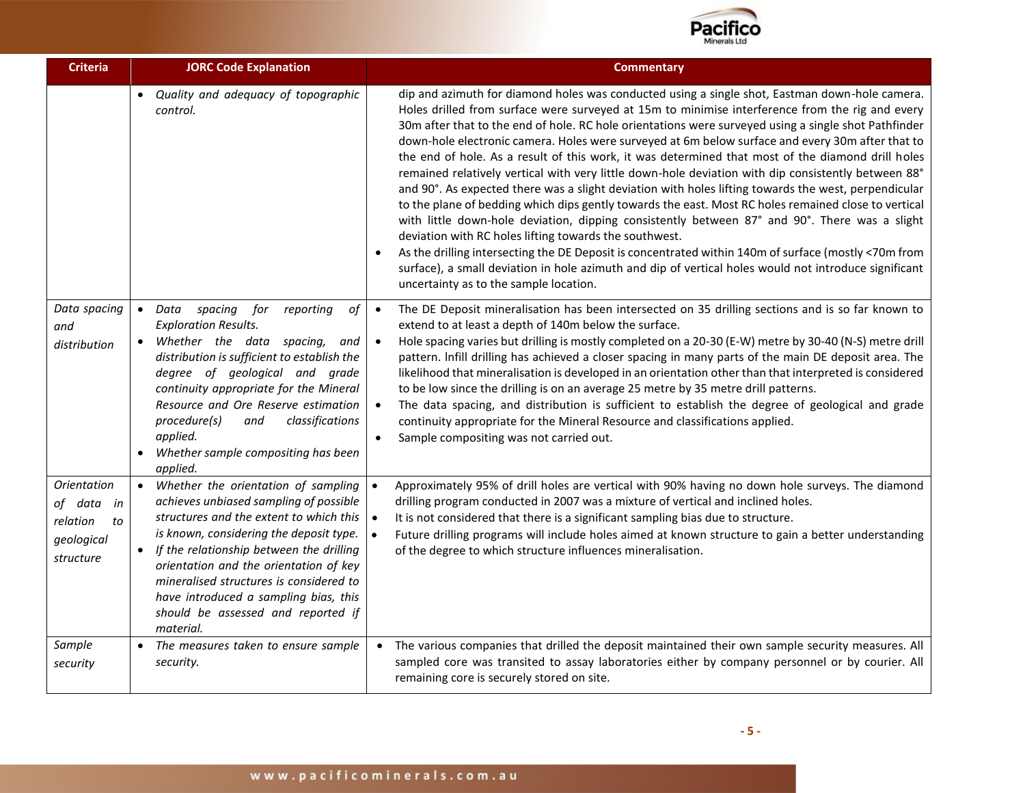

| <b>Criteria</b>                                                                  | <b>JORC Code Explanation</b>                                                                                                                                                                                                                                                                                                                                                                                                | <b>Commentary</b>                                                                                                                                                                                                                                                                                                                                                                                                                                                                                                                                                                                                                                                                                                                                                                                                                                                                                                                                                                                                                                                                                                                                                                                                                                               |
|----------------------------------------------------------------------------------|-----------------------------------------------------------------------------------------------------------------------------------------------------------------------------------------------------------------------------------------------------------------------------------------------------------------------------------------------------------------------------------------------------------------------------|-----------------------------------------------------------------------------------------------------------------------------------------------------------------------------------------------------------------------------------------------------------------------------------------------------------------------------------------------------------------------------------------------------------------------------------------------------------------------------------------------------------------------------------------------------------------------------------------------------------------------------------------------------------------------------------------------------------------------------------------------------------------------------------------------------------------------------------------------------------------------------------------------------------------------------------------------------------------------------------------------------------------------------------------------------------------------------------------------------------------------------------------------------------------------------------------------------------------------------------------------------------------|
|                                                                                  | Quality and adequacy of topographic<br>control.                                                                                                                                                                                                                                                                                                                                                                             | dip and azimuth for diamond holes was conducted using a single shot, Eastman down-hole camera.<br>Holes drilled from surface were surveyed at 15m to minimise interference from the rig and every<br>30m after that to the end of hole. RC hole orientations were surveyed using a single shot Pathfinder<br>down-hole electronic camera. Holes were surveyed at 6m below surface and every 30m after that to<br>the end of hole. As a result of this work, it was determined that most of the diamond drill holes<br>remained relatively vertical with very little down-hole deviation with dip consistently between 88°<br>and 90°. As expected there was a slight deviation with holes lifting towards the west, perpendicular<br>to the plane of bedding which dips gently towards the east. Most RC holes remained close to vertical<br>with little down-hole deviation, dipping consistently between 87° and 90°. There was a slight<br>deviation with RC holes lifting towards the southwest.<br>As the drilling intersecting the DE Deposit is concentrated within 140m of surface (mostly <70m from<br>surface), a small deviation in hole azimuth and dip of vertical holes would not introduce significant<br>uncertainty as to the sample location. |
| Data spacing<br>and<br>distribution                                              | spacing<br>for<br>of<br>$\bullet$ Data<br>reporting<br><b>Exploration Results.</b><br>Whether the data spacing,<br>$\bullet$<br>and<br>distribution is sufficient to establish the<br>degree of geological and grade<br>continuity appropriate for the Mineral<br>Resource and Ore Reserve estimation<br>procedure(s)<br>classifications<br>and<br>applied.<br>Whether sample compositing has been<br>$\bullet$<br>applied. | The DE Deposit mineralisation has been intersected on 35 drilling sections and is so far known to<br>$\bullet$<br>extend to at least a depth of 140m below the surface.<br>Hole spacing varies but drilling is mostly completed on a 20-30 (E-W) metre by 30-40 (N-S) metre drill<br>$\bullet$<br>pattern. Infill drilling has achieved a closer spacing in many parts of the main DE deposit area. The<br>likelihood that mineralisation is developed in an orientation other than that interpreted is considered<br>to be low since the drilling is on an average 25 metre by 35 metre drill patterns.<br>The data spacing, and distribution is sufficient to establish the degree of geological and grade<br>$\bullet$<br>continuity appropriate for the Mineral Resource and classifications applied.<br>Sample compositing was not carried out.<br>$\bullet$                                                                                                                                                                                                                                                                                                                                                                                               |
| <b>Orientation</b><br>of data<br>in<br>relation<br>to<br>geological<br>structure | • Whether the orientation of sampling<br>achieves unbiased sampling of possible<br>structures and the extent to which this<br>is known, considering the deposit type.<br>• If the relationship between the drilling<br>orientation and the orientation of key<br>mineralised structures is considered to<br>have introduced a sampling bias, this<br>should be assessed and reported if<br>material.                        | Approximately 95% of drill holes are vertical with 90% having no down hole surveys. The diamond<br>drilling program conducted in 2007 was a mixture of vertical and inclined holes.<br>It is not considered that there is a significant sampling bias due to structure.<br>$\bullet$<br>Future drilling programs will include holes aimed at known structure to gain a better understanding<br>of the degree to which structure influences mineralisation.                                                                                                                                                                                                                                                                                                                                                                                                                                                                                                                                                                                                                                                                                                                                                                                                      |
| Sample<br>security                                                               | • The measures taken to ensure sample<br>security.                                                                                                                                                                                                                                                                                                                                                                          | • The various companies that drilled the deposit maintained their own sample security measures. All<br>sampled core was transited to assay laboratories either by company personnel or by courier. All<br>remaining core is securely stored on site.                                                                                                                                                                                                                                                                                                                                                                                                                                                                                                                                                                                                                                                                                                                                                                                                                                                                                                                                                                                                            |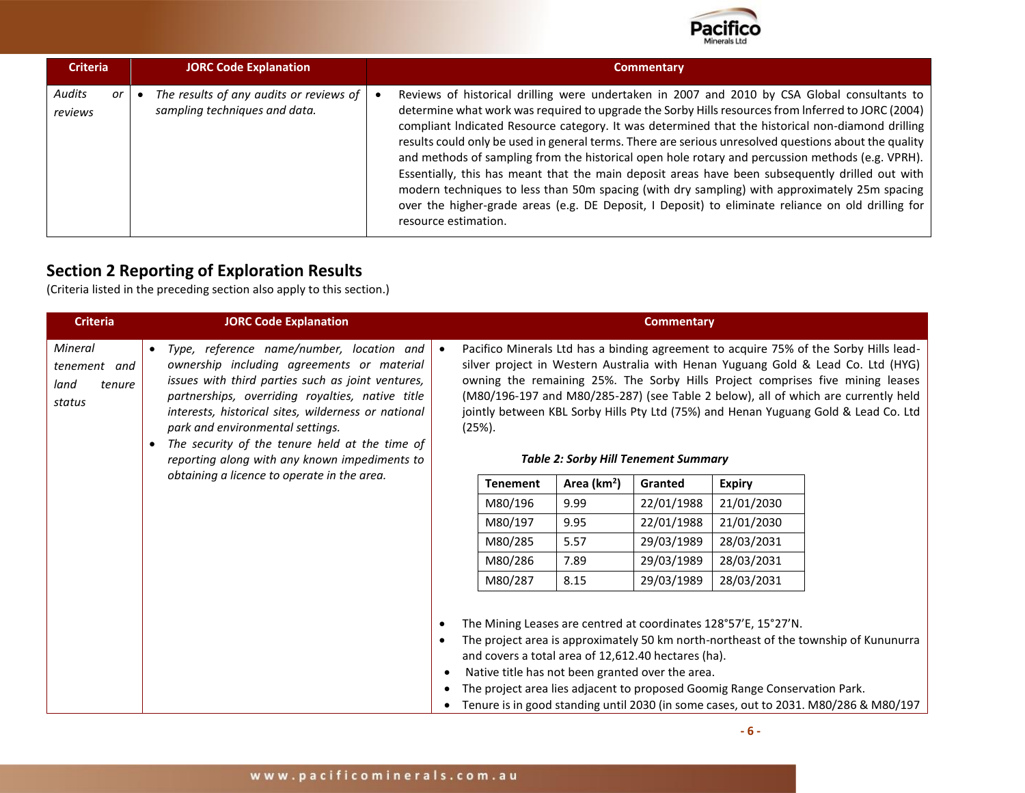

| <b>Criteria</b>         | <b>JORC Code Explanation</b>                                             | <b>Commentary</b>                                                                                                                                                                                                                                                                                                                                                                                                                                                                                                                                                                                                                                                                                                                                                                                                                                      |
|-------------------------|--------------------------------------------------------------------------|--------------------------------------------------------------------------------------------------------------------------------------------------------------------------------------------------------------------------------------------------------------------------------------------------------------------------------------------------------------------------------------------------------------------------------------------------------------------------------------------------------------------------------------------------------------------------------------------------------------------------------------------------------------------------------------------------------------------------------------------------------------------------------------------------------------------------------------------------------|
| Audits<br>or<br>reviews | The results of any audits or reviews of<br>sampling techniques and data. | Reviews of historical drilling were undertaken in 2007 and 2010 by CSA Global consultants to<br>determine what work was required to upgrade the Sorby Hills resources from Inferred to JORC (2004)<br>compliant Indicated Resource category. It was determined that the historical non-diamond drilling<br>results could only be used in general terms. There are serious unresolved questions about the quality<br>and methods of sampling from the historical open hole rotary and percussion methods (e.g. VPRH).<br>Essentially, this has meant that the main deposit areas have been subsequently drilled out with<br>modern techniques to less than 50m spacing (with dry sampling) with approximately 25m spacing<br>over the higher-grade areas (e.g. DE Deposit, I Deposit) to eliminate reliance on old drilling for<br>resource estimation. |

## **Section 2 Reporting of Exploration Results**

(Criteria listed in the preceding section also apply to this section.)

| <b>Criteria</b>                                     |                                                                                                                                                                                                                                                                                                                                                                                                                                                            | <b>JORC Code Explanation</b> |                        |                                                                                                         |                                             | <b>Commentary</b> |                                                                                                                                                                                                                                                                                                                                                                                                                                          |                                                                                                                                                                                |
|-----------------------------------------------------|------------------------------------------------------------------------------------------------------------------------------------------------------------------------------------------------------------------------------------------------------------------------------------------------------------------------------------------------------------------------------------------------------------------------------------------------------------|------------------------------|------------------------|---------------------------------------------------------------------------------------------------------|---------------------------------------------|-------------------|------------------------------------------------------------------------------------------------------------------------------------------------------------------------------------------------------------------------------------------------------------------------------------------------------------------------------------------------------------------------------------------------------------------------------------------|--------------------------------------------------------------------------------------------------------------------------------------------------------------------------------|
| Mineral<br>tenement and<br>land<br>tenure<br>status | Type, reference name/number, location and<br>$\bullet$<br>ownership including agreements or material<br>issues with third parties such as joint ventures,<br>partnerships, overriding royalties, native title<br>interests, historical sites, wilderness or national<br>park and environmental settings.<br>The security of the tenure held at the time of<br>reporting along with any known impediments to<br>obtaining a licence to operate in the area. |                              | $(25%)$ .              |                                                                                                         | <b>Table 2: Sorby Hill Tenement Summary</b> |                   | Pacifico Minerals Ltd has a binding agreement to acquire 75% of the Sorby Hills lead-<br>silver project in Western Australia with Henan Yuguang Gold & Lead Co. Ltd (HYG)<br>owning the remaining 25%. The Sorby Hills Project comprises five mining leases<br>(M80/196-197 and M80/285-287) (see Table 2 below), all of which are currently held<br>jointly between KBL Sorby Hills Pty Ltd (75%) and Henan Yuguang Gold & Lead Co. Ltd |                                                                                                                                                                                |
|                                                     |                                                                                                                                                                                                                                                                                                                                                                                                                                                            |                              | <b>Tenement</b>        | Area (km <sup>2</sup> )                                                                                 | Granted                                     | <b>Expiry</b>     |                                                                                                                                                                                                                                                                                                                                                                                                                                          |                                                                                                                                                                                |
|                                                     |                                                                                                                                                                                                                                                                                                                                                                                                                                                            |                              | M80/196                | 9.99                                                                                                    | 22/01/1988                                  | 21/01/2030        |                                                                                                                                                                                                                                                                                                                                                                                                                                          |                                                                                                                                                                                |
|                                                     |                                                                                                                                                                                                                                                                                                                                                                                                                                                            |                              | M80/197                | 9.95                                                                                                    | 22/01/1988                                  | 21/01/2030        |                                                                                                                                                                                                                                                                                                                                                                                                                                          |                                                                                                                                                                                |
|                                                     |                                                                                                                                                                                                                                                                                                                                                                                                                                                            |                              |                        | M80/285                                                                                                 | 5.57                                        | 29/03/1989        | 28/03/2031                                                                                                                                                                                                                                                                                                                                                                                                                               |                                                                                                                                                                                |
|                                                     |                                                                                                                                                                                                                                                                                                                                                                                                                                                            |                              |                        | M80/286                                                                                                 | 7.89                                        | 29/03/1989        | 28/03/2031                                                                                                                                                                                                                                                                                                                                                                                                                               |                                                                                                                                                                                |
|                                                     |                                                                                                                                                                                                                                                                                                                                                                                                                                                            |                              |                        | M80/287                                                                                                 | 8.15                                        | 29/03/1989        | 28/03/2031                                                                                                                                                                                                                                                                                                                                                                                                                               |                                                                                                                                                                                |
|                                                     |                                                                                                                                                                                                                                                                                                                                                                                                                                                            |                              | $\bullet$<br>$\bullet$ | and covers a total area of 12,612.40 hectares (ha).<br>Native title has not been granted over the area. |                                             |                   | The Mining Leases are centred at coordinates 128°57'E, 15°27'N.<br>The project area lies adjacent to proposed Goomig Range Conservation Park.                                                                                                                                                                                                                                                                                            | The project area is approximately 50 km north-northeast of the township of Kununurra<br>• Tenure is in good standing until 2030 (in some cases, out to 2031. M80/286 & M80/197 |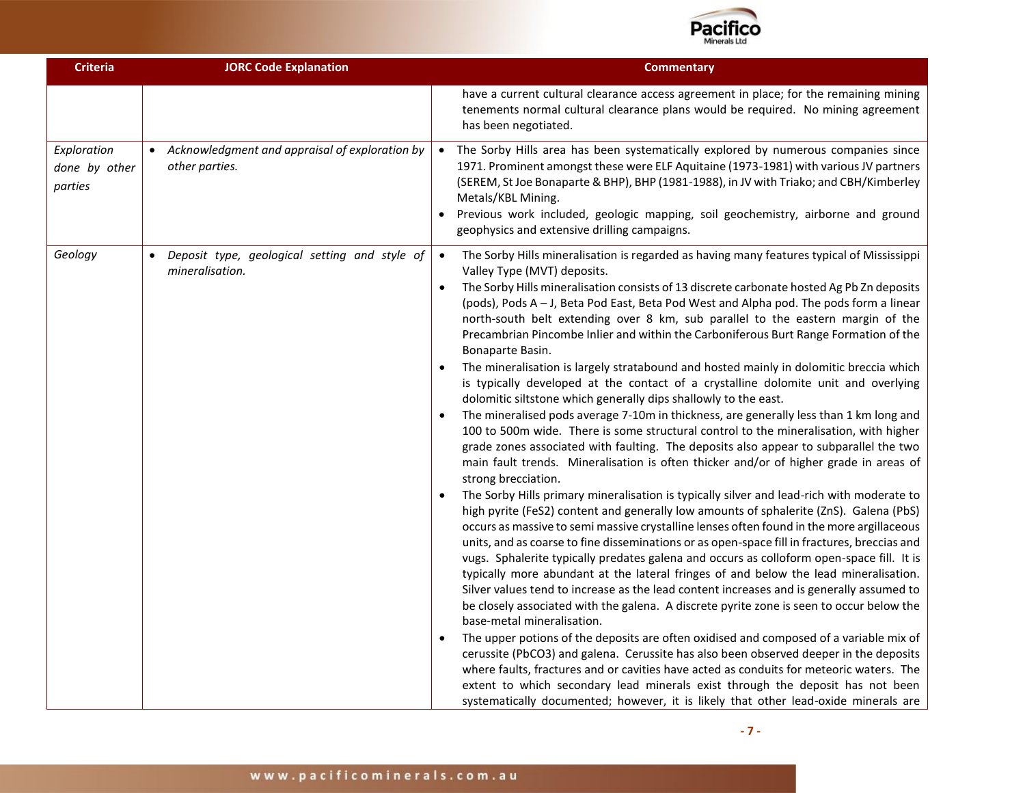

| <b>Criteria</b>                         | <b>JORC Code Explanation</b>                                     | <b>Commentary</b>                                                                                                                                                                                                                                                                                                                                                                                                                                                                                                                                                                                                                                                                                                                                                                                                                                                                                                                                                                                                                                                                                                                                                                                                                                                                                                                                                                                                                                                                                                                                                                                                                                                                                                                                                                                                                                                                                                                                                                                                                                                                                                                                                                                                                                                                                                                                                                                                                                          |
|-----------------------------------------|------------------------------------------------------------------|------------------------------------------------------------------------------------------------------------------------------------------------------------------------------------------------------------------------------------------------------------------------------------------------------------------------------------------------------------------------------------------------------------------------------------------------------------------------------------------------------------------------------------------------------------------------------------------------------------------------------------------------------------------------------------------------------------------------------------------------------------------------------------------------------------------------------------------------------------------------------------------------------------------------------------------------------------------------------------------------------------------------------------------------------------------------------------------------------------------------------------------------------------------------------------------------------------------------------------------------------------------------------------------------------------------------------------------------------------------------------------------------------------------------------------------------------------------------------------------------------------------------------------------------------------------------------------------------------------------------------------------------------------------------------------------------------------------------------------------------------------------------------------------------------------------------------------------------------------------------------------------------------------------------------------------------------------------------------------------------------------------------------------------------------------------------------------------------------------------------------------------------------------------------------------------------------------------------------------------------------------------------------------------------------------------------------------------------------------------------------------------------------------------------------------------------------------|
|                                         |                                                                  | have a current cultural clearance access agreement in place; for the remaining mining<br>tenements normal cultural clearance plans would be required. No mining agreement<br>has been negotiated.                                                                                                                                                                                                                                                                                                                                                                                                                                                                                                                                                                                                                                                                                                                                                                                                                                                                                                                                                                                                                                                                                                                                                                                                                                                                                                                                                                                                                                                                                                                                                                                                                                                                                                                                                                                                                                                                                                                                                                                                                                                                                                                                                                                                                                                          |
| Exploration<br>done by other<br>parties | Acknowledgment and appraisal of exploration by<br>other parties. | The Sorby Hills area has been systematically explored by numerous companies since<br>1971. Prominent amongst these were ELF Aquitaine (1973-1981) with various JV partners<br>(SEREM, St Joe Bonaparte & BHP), BHP (1981-1988), in JV with Triako; and CBH/Kimberley<br>Metals/KBL Mining.<br>Previous work included, geologic mapping, soil geochemistry, airborne and ground<br>geophysics and extensive drilling campaigns.                                                                                                                                                                                                                                                                                                                                                                                                                                                                                                                                                                                                                                                                                                                                                                                                                                                                                                                                                                                                                                                                                                                                                                                                                                                                                                                                                                                                                                                                                                                                                                                                                                                                                                                                                                                                                                                                                                                                                                                                                             |
| Geology                                 | Deposit type, geological setting and style of<br>mineralisation. | The Sorby Hills mineralisation is regarded as having many features typical of Mississippi<br>$\bullet$<br>Valley Type (MVT) deposits.<br>The Sorby Hills mineralisation consists of 13 discrete carbonate hosted Ag Pb Zn deposits<br>(pods), Pods A - J, Beta Pod East, Beta Pod West and Alpha pod. The pods form a linear<br>north-south belt extending over 8 km, sub parallel to the eastern margin of the<br>Precambrian Pincombe Inlier and within the Carboniferous Burt Range Formation of the<br>Bonaparte Basin.<br>The mineralisation is largely stratabound and hosted mainly in dolomitic breccia which<br>is typically developed at the contact of a crystalline dolomite unit and overlying<br>dolomitic siltstone which generally dips shallowly to the east.<br>The mineralised pods average 7-10m in thickness, are generally less than 1 km long and<br>$\bullet$<br>100 to 500m wide. There is some structural control to the mineralisation, with higher<br>grade zones associated with faulting. The deposits also appear to subparallel the two<br>main fault trends. Mineralisation is often thicker and/or of higher grade in areas of<br>strong brecciation.<br>The Sorby Hills primary mineralisation is typically silver and lead-rich with moderate to<br>$\bullet$<br>high pyrite (FeS2) content and generally low amounts of sphalerite (ZnS). Galena (PbS)<br>occurs as massive to semi massive crystalline lenses often found in the more argillaceous<br>units, and as coarse to fine disseminations or as open-space fill in fractures, breccias and<br>vugs. Sphalerite typically predates galena and occurs as colloform open-space fill. It is<br>typically more abundant at the lateral fringes of and below the lead mineralisation.<br>Silver values tend to increase as the lead content increases and is generally assumed to<br>be closely associated with the galena. A discrete pyrite zone is seen to occur below the<br>base-metal mineralisation.<br>The upper potions of the deposits are often oxidised and composed of a variable mix of<br>cerussite (PbCO3) and galena. Cerussite has also been observed deeper in the deposits<br>where faults, fractures and or cavities have acted as conduits for meteoric waters. The<br>extent to which secondary lead minerals exist through the deposit has not been<br>systematically documented; however, it is likely that other lead-oxide minerals are |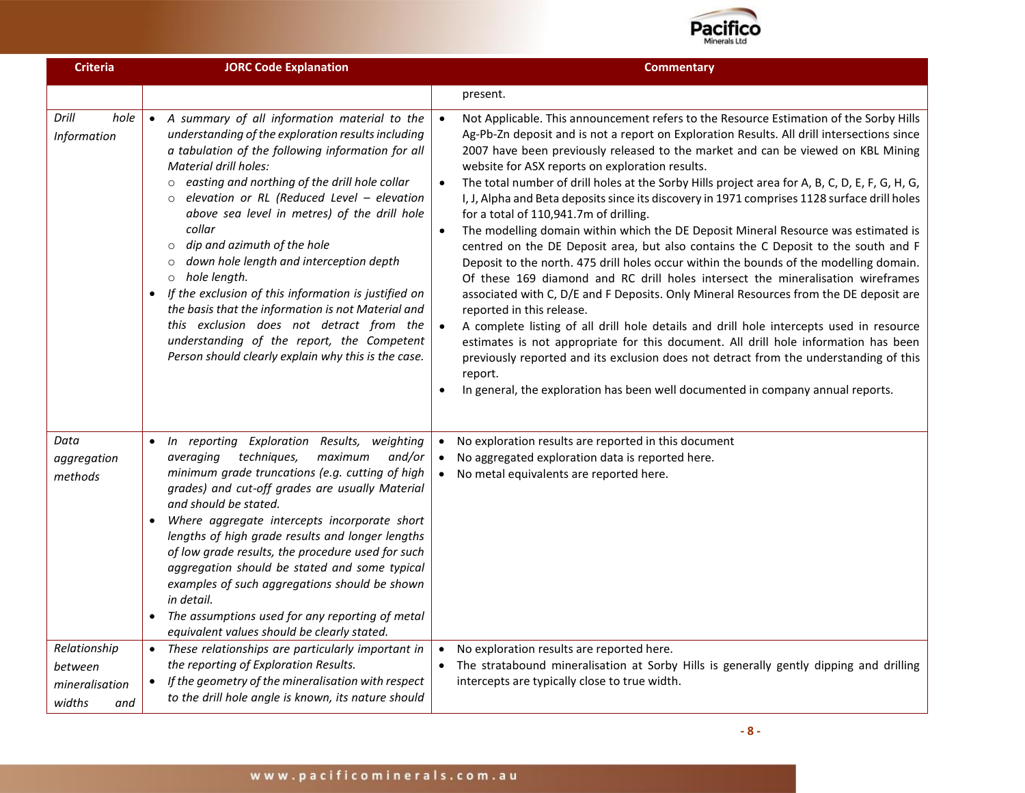

| <b>Criteria</b>                                            | <b>JORC Code Explanation</b>                                                                                                                                                                                                                                                                                                                                                                                                                                                                                                                                                                                                                                                                                                                        | <b>Commentary</b>                                                                                                                                                                                                                                                                                                                                                                                                                                                                                                                                                                                                                                                                                                                                                                                                                                                                                                                                                                                                                                                                                                                                                                                                                                                                                                                                                                                                                                                      |
|------------------------------------------------------------|-----------------------------------------------------------------------------------------------------------------------------------------------------------------------------------------------------------------------------------------------------------------------------------------------------------------------------------------------------------------------------------------------------------------------------------------------------------------------------------------------------------------------------------------------------------------------------------------------------------------------------------------------------------------------------------------------------------------------------------------------------|------------------------------------------------------------------------------------------------------------------------------------------------------------------------------------------------------------------------------------------------------------------------------------------------------------------------------------------------------------------------------------------------------------------------------------------------------------------------------------------------------------------------------------------------------------------------------------------------------------------------------------------------------------------------------------------------------------------------------------------------------------------------------------------------------------------------------------------------------------------------------------------------------------------------------------------------------------------------------------------------------------------------------------------------------------------------------------------------------------------------------------------------------------------------------------------------------------------------------------------------------------------------------------------------------------------------------------------------------------------------------------------------------------------------------------------------------------------------|
|                                                            |                                                                                                                                                                                                                                                                                                                                                                                                                                                                                                                                                                                                                                                                                                                                                     | present.                                                                                                                                                                                                                                                                                                                                                                                                                                                                                                                                                                                                                                                                                                                                                                                                                                                                                                                                                                                                                                                                                                                                                                                                                                                                                                                                                                                                                                                               |
| Drill<br>hole<br>Information                               | • A summary of all information material to the<br>understanding of the exploration results including<br>a tabulation of the following information for all<br>Material drill holes:<br>o easting and northing of the drill hole collar<br>$\circ$ elevation or RL (Reduced Level - elevation<br>above sea level in metres) of the drill hole<br>collar<br>dip and azimuth of the hole<br>$\circ$<br>down hole length and interception depth<br>$\circ$<br>o hole length.<br>If the exclusion of this information is justified on<br>$\bullet$<br>the basis that the information is not Material and<br>this exclusion does not detract from the<br>understanding of the report, the Competent<br>Person should clearly explain why this is the case. | Not Applicable. This announcement refers to the Resource Estimation of the Sorby Hills<br>$\bullet$<br>Ag-Pb-Zn deposit and is not a report on Exploration Results. All drill intersections since<br>2007 have been previously released to the market and can be viewed on KBL Mining<br>website for ASX reports on exploration results.<br>The total number of drill holes at the Sorby Hills project area for A, B, C, D, E, F, G, H, G,<br>I, J, Alpha and Beta deposits since its discovery in 1971 comprises 1128 surface drill holes<br>for a total of 110,941.7m of drilling.<br>The modelling domain within which the DE Deposit Mineral Resource was estimated is<br>$\bullet$<br>centred on the DE Deposit area, but also contains the C Deposit to the south and F<br>Deposit to the north. 475 drill holes occur within the bounds of the modelling domain.<br>Of these 169 diamond and RC drill holes intersect the mineralisation wireframes<br>associated with C, D/E and F Deposits. Only Mineral Resources from the DE deposit are<br>reported in this release.<br>A complete listing of all drill hole details and drill hole intercepts used in resource<br>estimates is not appropriate for this document. All drill hole information has been<br>previously reported and its exclusion does not detract from the understanding of this<br>report.<br>In general, the exploration has been well documented in company annual reports.<br>$\bullet$ |
| Data<br>aggregation<br>methods                             | • In reporting Exploration Results,<br>weighting<br>techniques,<br>and/or<br>averaging<br>maximum<br>minimum grade truncations (e.g. cutting of high<br>grades) and cut-off grades are usually Material<br>and should be stated.<br>Where aggregate intercepts incorporate short<br>$\bullet$<br>lengths of high grade results and longer lengths<br>of low grade results, the procedure used for such<br>aggregation should be stated and some typical<br>examples of such aggregations should be shown<br>in detail.<br>The assumptions used for any reporting of metal<br>equivalent values should be clearly stated.                                                                                                                            | No exploration results are reported in this document<br>$\bullet$<br>No aggregated exploration data is reported here.<br>$\bullet$<br>No metal equivalents are reported here.                                                                                                                                                                                                                                                                                                                                                                                                                                                                                                                                                                                                                                                                                                                                                                                                                                                                                                                                                                                                                                                                                                                                                                                                                                                                                          |
| Relationship<br>between<br>mineralisation<br>widths<br>and | • These relationships are particularly important in<br>the reporting of Exploration Results.<br>• If the geometry of the mineralisation with respect<br>to the drill hole angle is known, its nature should                                                                                                                                                                                                                                                                                                                                                                                                                                                                                                                                         | No exploration results are reported here.<br>The stratabound mineralisation at Sorby Hills is generally gently dipping and drilling<br>intercepts are typically close to true width.                                                                                                                                                                                                                                                                                                                                                                                                                                                                                                                                                                                                                                                                                                                                                                                                                                                                                                                                                                                                                                                                                                                                                                                                                                                                                   |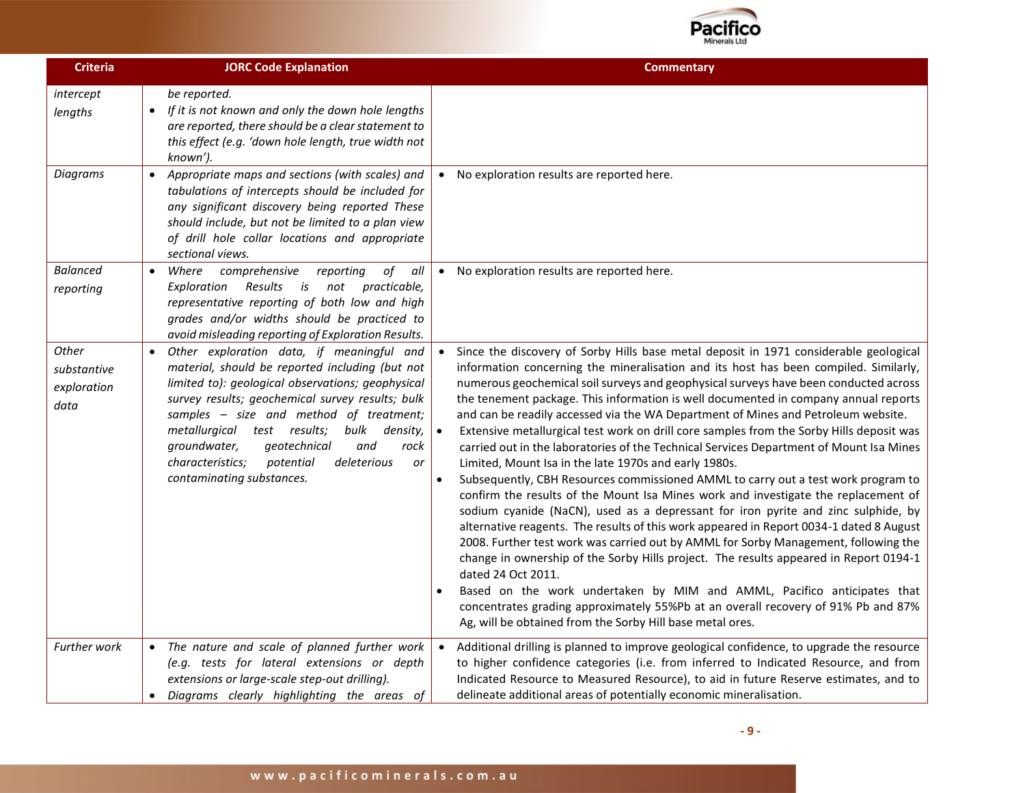

| <b>Criteria</b>                             | <b>JORC Code Explanation</b>                                                                                                                                                                                                                                                                                                                                                                                                          | <b>Commentary</b>                                                                                                                                                                                                                                                                                                                                                                                                                                                                                                                                                                                                                                                                                                                                                                                                                                                                                                                                                                                                                                                                                                                                                                                                                                                                                                                                                                                                                                                                               |
|---------------------------------------------|---------------------------------------------------------------------------------------------------------------------------------------------------------------------------------------------------------------------------------------------------------------------------------------------------------------------------------------------------------------------------------------------------------------------------------------|-------------------------------------------------------------------------------------------------------------------------------------------------------------------------------------------------------------------------------------------------------------------------------------------------------------------------------------------------------------------------------------------------------------------------------------------------------------------------------------------------------------------------------------------------------------------------------------------------------------------------------------------------------------------------------------------------------------------------------------------------------------------------------------------------------------------------------------------------------------------------------------------------------------------------------------------------------------------------------------------------------------------------------------------------------------------------------------------------------------------------------------------------------------------------------------------------------------------------------------------------------------------------------------------------------------------------------------------------------------------------------------------------------------------------------------------------------------------------------------------------|
| intercept<br>lengths                        | be reported.<br>If it is not known and only the down hole lengths<br>$\bullet$<br>are reported, there should be a clear statement to<br>this effect (e.g. 'down hole length, true width not<br>known').                                                                                                                                                                                                                               |                                                                                                                                                                                                                                                                                                                                                                                                                                                                                                                                                                                                                                                                                                                                                                                                                                                                                                                                                                                                                                                                                                                                                                                                                                                                                                                                                                                                                                                                                                 |
| <b>Diagrams</b>                             | Appropriate maps and sections (with scales) and<br>tabulations of intercepts should be included for<br>any significant discovery being reported These<br>should include, but not be limited to a plan view<br>of drill hole collar locations and appropriate<br>sectional views.                                                                                                                                                      | No exploration results are reported here.                                                                                                                                                                                                                                                                                                                                                                                                                                                                                                                                                                                                                                                                                                                                                                                                                                                                                                                                                                                                                                                                                                                                                                                                                                                                                                                                                                                                                                                       |
| <b>Balanced</b><br>reporting                | Where<br>comprehensive<br>reporting<br>of<br>all<br>$\bullet$<br><b>Exploration</b> Results<br>i <sub>S</sub><br>not<br>practicable,<br>representative reporting of both low and high<br>grades and/or widths should be practiced to<br>avoid misleading reporting of Exploration Results.                                                                                                                                            | No exploration results are reported here.<br>$\bullet$                                                                                                                                                                                                                                                                                                                                                                                                                                                                                                                                                                                                                                                                                                                                                                                                                                                                                                                                                                                                                                                                                                                                                                                                                                                                                                                                                                                                                                          |
| Other<br>substantive<br>exploration<br>data | Other exploration data, if meaningful and<br>material, should be reported including (but not<br>limited to): geological observations; geophysical<br>survey results; geochemical survey results; bulk<br>samples - size and method of treatment;<br>metallurgical test results;<br>bulk<br>density,<br>groundwater,<br>geotechnical<br>and<br>rock<br>characteristics;<br>potential<br>deleterious<br>or<br>contaminating substances. | Since the discovery of Sorby Hills base metal deposit in 1971 considerable geological<br>information concerning the mineralisation and its host has been compiled. Similarly,<br>numerous geochemical soil surveys and geophysical surveys have been conducted across<br>the tenement package. This information is well documented in company annual reports<br>and can be readily accessed via the WA Department of Mines and Petroleum website.<br>Extensive metallurgical test work on drill core samples from the Sorby Hills deposit was<br>carried out in the laboratories of the Technical Services Department of Mount Isa Mines<br>Limited, Mount Isa in the late 1970s and early 1980s.<br>Subsequently, CBH Resources commissioned AMML to carry out a test work program to<br>confirm the results of the Mount Isa Mines work and investigate the replacement of<br>sodium cyanide (NaCN), used as a depressant for iron pyrite and zinc sulphide, by<br>alternative reagents. The results of this work appeared in Report 0034-1 dated 8 August<br>2008. Further test work was carried out by AMML for Sorby Management, following the<br>change in ownership of the Sorby Hills project. The results appeared in Report 0194-1<br>dated 24 Oct 2011.<br>Based on the work undertaken by MIM and AMML, Pacifico anticipates that<br>concentrates grading approximately 55%Pb at an overall recovery of 91% Pb and 87%<br>Ag, will be obtained from the Sorby Hill base metal ores. |
| Further work                                | The nature and scale of planned further work<br>(e.g. tests for lateral extensions or depth<br>extensions or large-scale step-out drilling).<br>Diagrams clearly highlighting the areas of                                                                                                                                                                                                                                            | Additional drilling is planned to improve geological confidence, to upgrade the resource<br>to higher confidence categories (i.e. from inferred to Indicated Resource, and from<br>Indicated Resource to Measured Resource), to aid in future Reserve estimates, and to<br>delineate additional areas of potentially economic mineralisation.                                                                                                                                                                                                                                                                                                                                                                                                                                                                                                                                                                                                                                                                                                                                                                                                                                                                                                                                                                                                                                                                                                                                                   |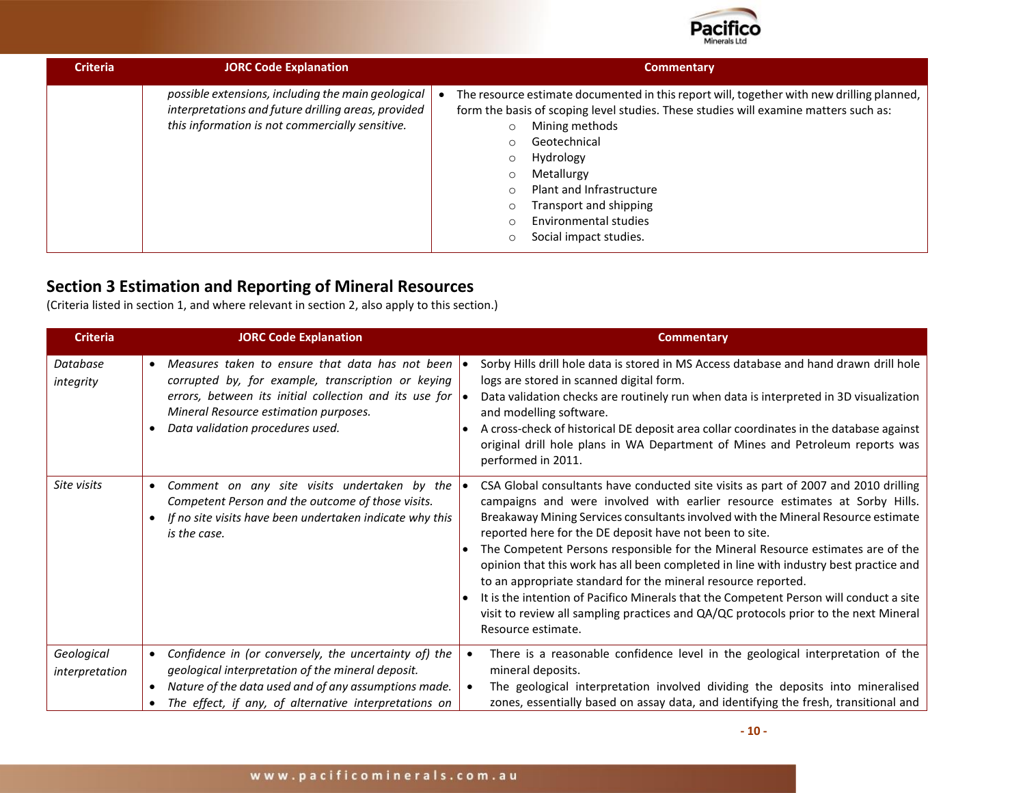

| <b>Criteria</b> | <b>JORC Code Explanation</b>                                                                                                                                 | <b>Commentary</b>                                                                                                                                                                                                                                                                                                                                                                                                                                           |  |  |
|-----------------|--------------------------------------------------------------------------------------------------------------------------------------------------------------|-------------------------------------------------------------------------------------------------------------------------------------------------------------------------------------------------------------------------------------------------------------------------------------------------------------------------------------------------------------------------------------------------------------------------------------------------------------|--|--|
|                 | possible extensions, including the main geological<br>interpretations and future drilling areas, provided<br>this information is not commercially sensitive. | The resource estimate documented in this report will, together with new drilling planned,<br>form the basis of scoping level studies. These studies will examine matters such as:<br>Mining methods<br>$\circ$<br>Geotechnical<br>$\circ$<br>Hydrology<br>$\circ$<br>Metallurgy<br>$\circ$<br><b>Plant and Infrastructure</b><br>$\Omega$<br>Transport and shipping<br>$\circ$<br>Environmental studies<br>$\bigcirc$<br>Social impact studies.<br>$\Omega$ |  |  |

# **Section 3 Estimation and Reporting of Mineral Resources**

(Criteria listed in section 1, and where relevant in section 2, also apply to this section.)

| <b>Criteria</b>              | <b>JORC Code Explanation</b>                                                                                                                                                                                                                           | <b>Commentary</b>                                                                                                                                                                                                                                                                                                                                                                                                                                                                                                                                                                                                                                                                                                                                                       |
|------------------------------|--------------------------------------------------------------------------------------------------------------------------------------------------------------------------------------------------------------------------------------------------------|-------------------------------------------------------------------------------------------------------------------------------------------------------------------------------------------------------------------------------------------------------------------------------------------------------------------------------------------------------------------------------------------------------------------------------------------------------------------------------------------------------------------------------------------------------------------------------------------------------------------------------------------------------------------------------------------------------------------------------------------------------------------------|
| Database<br>integrity        | Measures taken to ensure that data has not been<br>corrupted by, for example, transcription or keying<br>errors, between its initial collection and its use for $\bullet$<br>Mineral Resource estimation purposes.<br>Data validation procedures used. | Sorby Hills drill hole data is stored in MS Access database and hand drawn drill hole<br>logs are stored in scanned digital form.<br>Data validation checks are routinely run when data is interpreted in 3D visualization<br>and modelling software.<br>A cross-check of historical DE deposit area collar coordinates in the database against<br>original drill hole plans in WA Department of Mines and Petroleum reports was<br>performed in 2011.                                                                                                                                                                                                                                                                                                                  |
| Site visits                  | Comment on any site visits undertaken by the<br>Competent Person and the outcome of those visits.<br>If no site visits have been undertaken indicate why this<br>is the case.                                                                          | CSA Global consultants have conducted site visits as part of 2007 and 2010 drilling<br>campaigns and were involved with earlier resource estimates at Sorby Hills.<br>Breakaway Mining Services consultants involved with the Mineral Resource estimate<br>reported here for the DE deposit have not been to site.<br>The Competent Persons responsible for the Mineral Resource estimates are of the<br>opinion that this work has all been completed in line with industry best practice and<br>to an appropriate standard for the mineral resource reported.<br>It is the intention of Pacifico Minerals that the Competent Person will conduct a site<br>visit to review all sampling practices and QA/QC protocols prior to the next Mineral<br>Resource estimate. |
| Geological<br>interpretation | Confidence in (or conversely, the uncertainty of) the<br>geological interpretation of the mineral deposit.<br>Nature of the data used and of any assumptions made.<br>The effect, if any, of alternative interpretations on                            | There is a reasonable confidence level in the geological interpretation of the<br>mineral deposits.<br>The geological interpretation involved dividing the deposits into mineralised<br>$\bullet$<br>zones, essentially based on assay data, and identifying the fresh, transitional and                                                                                                                                                                                                                                                                                                                                                                                                                                                                                |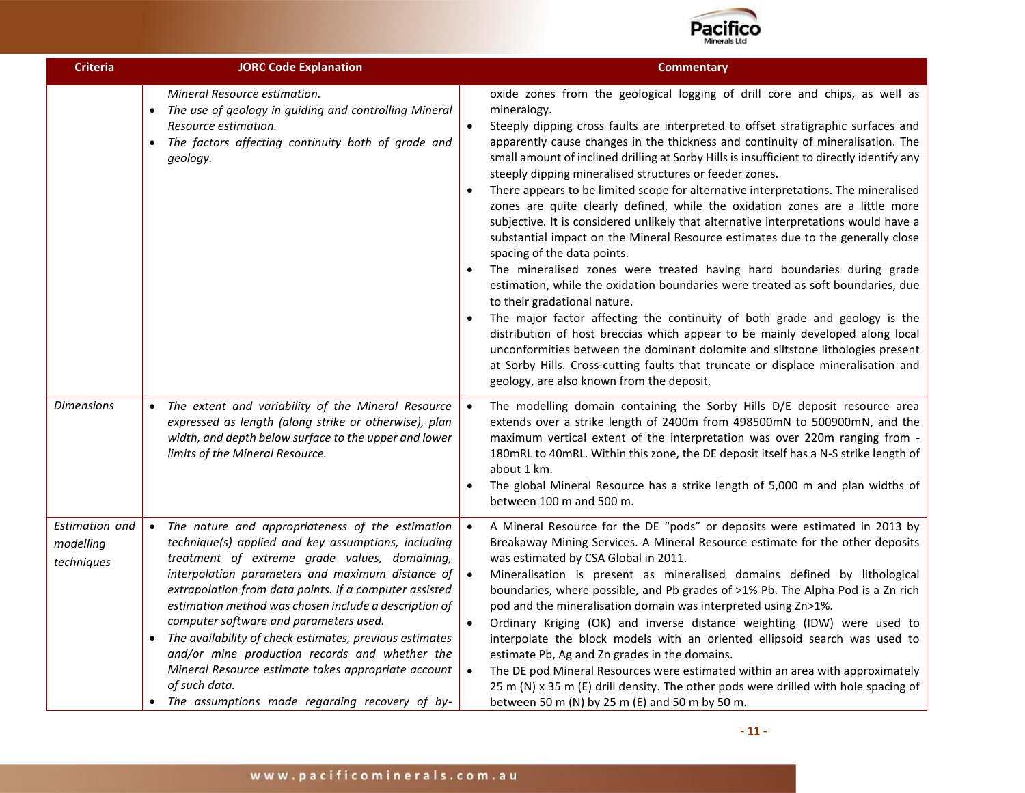

| <b>Criteria</b>                           | <b>JORC Code Explanation</b>                                                                                                                                                                                                                                                                                                                                                                                                                                                                                                                                                                                                      | <b>Commentary</b>                                                                                                                                                                                                                                                                                                                                                                                                                                                                                                                                                                                                                                                                                                                                                                                                                                                                                                                                                                                                                                                                                                                                                                                                                                                                                                                                                                                      |
|-------------------------------------------|-----------------------------------------------------------------------------------------------------------------------------------------------------------------------------------------------------------------------------------------------------------------------------------------------------------------------------------------------------------------------------------------------------------------------------------------------------------------------------------------------------------------------------------------------------------------------------------------------------------------------------------|--------------------------------------------------------------------------------------------------------------------------------------------------------------------------------------------------------------------------------------------------------------------------------------------------------------------------------------------------------------------------------------------------------------------------------------------------------------------------------------------------------------------------------------------------------------------------------------------------------------------------------------------------------------------------------------------------------------------------------------------------------------------------------------------------------------------------------------------------------------------------------------------------------------------------------------------------------------------------------------------------------------------------------------------------------------------------------------------------------------------------------------------------------------------------------------------------------------------------------------------------------------------------------------------------------------------------------------------------------------------------------------------------------|
|                                           | Mineral Resource estimation.<br>• The use of geology in guiding and controlling Mineral<br>Resource estimation.<br>The factors affecting continuity both of grade and<br>$\bullet$<br>geology.                                                                                                                                                                                                                                                                                                                                                                                                                                    | oxide zones from the geological logging of drill core and chips, as well as<br>mineralogy.<br>Steeply dipping cross faults are interpreted to offset stratigraphic surfaces and<br>$\bullet$<br>apparently cause changes in the thickness and continuity of mineralisation. The<br>small amount of inclined drilling at Sorby Hills is insufficient to directly identify any<br>steeply dipping mineralised structures or feeder zones.<br>There appears to be limited scope for alternative interpretations. The mineralised<br>zones are quite clearly defined, while the oxidation zones are a little more<br>subjective. It is considered unlikely that alternative interpretations would have a<br>substantial impact on the Mineral Resource estimates due to the generally close<br>spacing of the data points.<br>The mineralised zones were treated having hard boundaries during grade<br>estimation, while the oxidation boundaries were treated as soft boundaries, due<br>to their gradational nature.<br>The major factor affecting the continuity of both grade and geology is the<br>distribution of host breccias which appear to be mainly developed along local<br>unconformities between the dominant dolomite and siltstone lithologies present<br>at Sorby Hills. Cross-cutting faults that truncate or displace mineralisation and<br>geology, are also known from the deposit. |
| <b>Dimensions</b>                         | • The extent and variability of the Mineral Resource<br>expressed as length (along strike or otherwise), plan<br>width, and depth below surface to the upper and lower<br>limits of the Mineral Resource.                                                                                                                                                                                                                                                                                                                                                                                                                         | The modelling domain containing the Sorby Hills D/E deposit resource area<br>extends over a strike length of 2400m from 498500mN to 500900mN, and the<br>maximum vertical extent of the interpretation was over 220m ranging from -<br>180mRL to 40mRL. Within this zone, the DE deposit itself has a N-S strike length of<br>about 1 km.<br>The global Mineral Resource has a strike length of 5,000 m and plan widths of<br>between 100 m and 500 m.                                                                                                                                                                                                                                                                                                                                                                                                                                                                                                                                                                                                                                                                                                                                                                                                                                                                                                                                                 |
| Estimation and<br>modelling<br>techniques | • The nature and appropriateness of the estimation<br>technique(s) applied and key assumptions, including<br>treatment of extreme grade values, domaining,<br>interpolation parameters and maximum distance of<br>extrapolation from data points. If a computer assisted<br>estimation method was chosen include a description of<br>computer software and parameters used.<br>The availability of check estimates, previous estimates<br>$\bullet$<br>and/or mine production records and whether the<br>Mineral Resource estimate takes appropriate account<br>of such data.<br>• The assumptions made regarding recovery of by- | A Mineral Resource for the DE "pods" or deposits were estimated in 2013 by<br>$\bullet$<br>Breakaway Mining Services. A Mineral Resource estimate for the other deposits<br>was estimated by CSA Global in 2011.<br>Mineralisation is present as mineralised domains defined by lithological<br>$\bullet$<br>boundaries, where possible, and Pb grades of >1% Pb. The Alpha Pod is a Zn rich<br>pod and the mineralisation domain was interpreted using Zn>1%.<br>Ordinary Kriging (OK) and inverse distance weighting (IDW) were used to<br>$\bullet$<br>interpolate the block models with an oriented ellipsoid search was used to<br>estimate Pb, Ag and Zn grades in the domains.<br>The DE pod Mineral Resources were estimated within an area with approximately<br>$\bullet$<br>25 m (N) x 35 m (E) drill density. The other pods were drilled with hole spacing of<br>between 50 m (N) by 25 m (E) and 50 m by 50 m.                                                                                                                                                                                                                                                                                                                                                                                                                                                                           |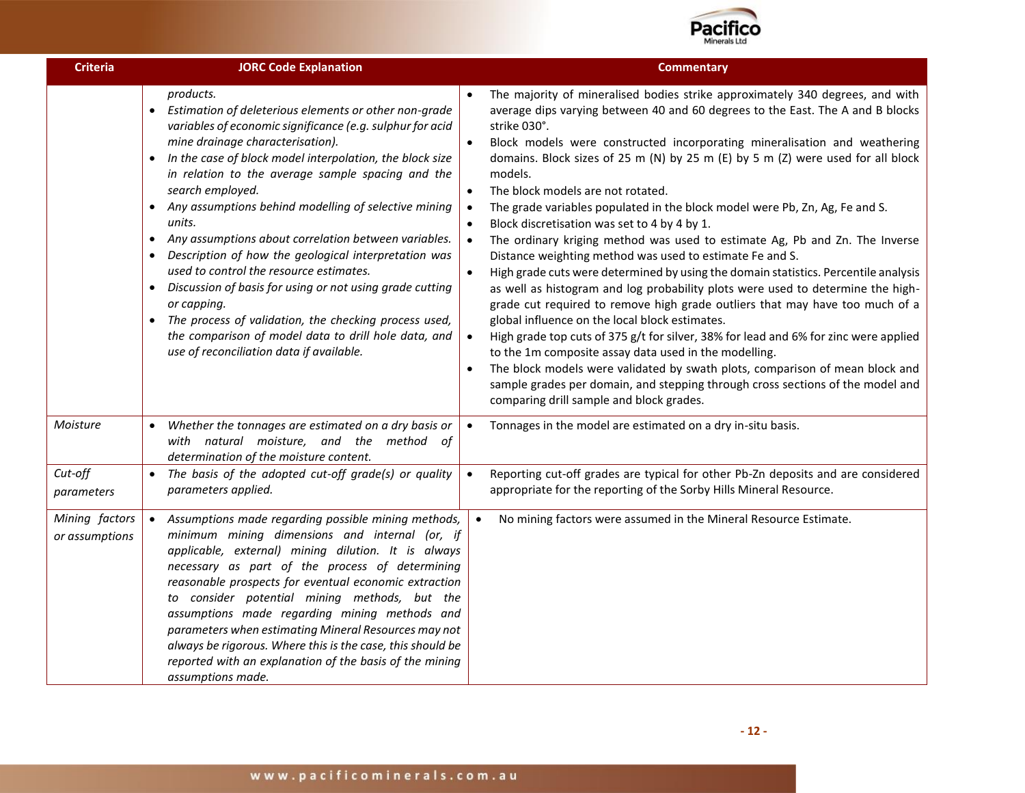

| <b>Criteria</b>                  | <b>JORC Code Explanation</b>                                                                                                                                                                                                                                                                                                                                                                                                                                                                                                                                                                                                                                                                                                                                                                                                                                | <b>Commentary</b>                                                                                                                                                                                                                                                                                                                                                                                                                                                                                                                                                                                                                                                                                                                                                                                                                                                                                                                                                                                                                                                                                                                                                                                                                                                                                                                                                                                                                                            |
|----------------------------------|-------------------------------------------------------------------------------------------------------------------------------------------------------------------------------------------------------------------------------------------------------------------------------------------------------------------------------------------------------------------------------------------------------------------------------------------------------------------------------------------------------------------------------------------------------------------------------------------------------------------------------------------------------------------------------------------------------------------------------------------------------------------------------------------------------------------------------------------------------------|--------------------------------------------------------------------------------------------------------------------------------------------------------------------------------------------------------------------------------------------------------------------------------------------------------------------------------------------------------------------------------------------------------------------------------------------------------------------------------------------------------------------------------------------------------------------------------------------------------------------------------------------------------------------------------------------------------------------------------------------------------------------------------------------------------------------------------------------------------------------------------------------------------------------------------------------------------------------------------------------------------------------------------------------------------------------------------------------------------------------------------------------------------------------------------------------------------------------------------------------------------------------------------------------------------------------------------------------------------------------------------------------------------------------------------------------------------------|
|                                  | products.<br>Estimation of deleterious elements or other non-grade<br>variables of economic significance (e.g. sulphur for acid<br>mine drainage characterisation).<br>In the case of block model interpolation, the block size<br>$\bullet$<br>in relation to the average sample spacing and the<br>search employed.<br>Any assumptions behind modelling of selective mining<br>$\bullet$<br>units.<br>Any assumptions about correlation between variables.<br>$\bullet$<br>Description of how the geological interpretation was<br>$\bullet$<br>used to control the resource estimates.<br>Discussion of basis for using or not using grade cutting<br>$\bullet$<br>or capping.<br>The process of validation, the checking process used,<br>$\bullet$<br>the comparison of model data to drill hole data, and<br>use of reconciliation data if available. | The majority of mineralised bodies strike approximately 340 degrees, and with<br>average dips varying between 40 and 60 degrees to the East. The A and B blocks<br>strike 030°.<br>Block models were constructed incorporating mineralisation and weathering<br>$\bullet$<br>domains. Block sizes of 25 m (N) by 25 m (E) by 5 m (Z) were used for all block<br>models.<br>The block models are not rotated.<br>$\bullet$<br>The grade variables populated in the block model were Pb, Zn, Ag, Fe and S.<br>$\bullet$<br>Block discretisation was set to 4 by 4 by 1.<br>$\bullet$<br>The ordinary kriging method was used to estimate Ag, Pb and Zn. The Inverse<br>$\bullet$<br>Distance weighting method was used to estimate Fe and S.<br>High grade cuts were determined by using the domain statistics. Percentile analysis<br>$\bullet$<br>as well as histogram and log probability plots were used to determine the high-<br>grade cut required to remove high grade outliers that may have too much of a<br>global influence on the local block estimates.<br>High grade top cuts of 375 g/t for silver, 38% for lead and 6% for zinc were applied<br>$\bullet$<br>to the 1m composite assay data used in the modelling.<br>The block models were validated by swath plots, comparison of mean block and<br>$\bullet$<br>sample grades per domain, and stepping through cross sections of the model and<br>comparing drill sample and block grades. |
| Moisture                         | Whether the tonnages are estimated on a dry basis or<br>with natural moisture, and the method of<br>determination of the moisture content.                                                                                                                                                                                                                                                                                                                                                                                                                                                                                                                                                                                                                                                                                                                  | Tonnages in the model are estimated on a dry in-situ basis.<br>$\bullet$                                                                                                                                                                                                                                                                                                                                                                                                                                                                                                                                                                                                                                                                                                                                                                                                                                                                                                                                                                                                                                                                                                                                                                                                                                                                                                                                                                                     |
| Cut-off<br>parameters            | • The basis of the adopted cut-off grade(s) or quality<br>parameters applied.                                                                                                                                                                                                                                                                                                                                                                                                                                                                                                                                                                                                                                                                                                                                                                               | Reporting cut-off grades are typical for other Pb-Zn deposits and are considered<br>$\bullet$<br>appropriate for the reporting of the Sorby Hills Mineral Resource.                                                                                                                                                                                                                                                                                                                                                                                                                                                                                                                                                                                                                                                                                                                                                                                                                                                                                                                                                                                                                                                                                                                                                                                                                                                                                          |
| Mining factors<br>or assumptions | Assumptions made regarding possible mining methods,<br>$\bullet$<br>minimum mining dimensions and internal (or, if<br>applicable, external) mining dilution. It is always<br>necessary as part of the process of determining<br>reasonable prospects for eventual economic extraction<br>to consider potential mining methods, but the<br>assumptions made regarding mining methods and<br>parameters when estimating Mineral Resources may not<br>always be rigorous. Where this is the case, this should be<br>reported with an explanation of the basis of the mining<br>assumptions made.                                                                                                                                                                                                                                                               | No mining factors were assumed in the Mineral Resource Estimate.<br>$\bullet$                                                                                                                                                                                                                                                                                                                                                                                                                                                                                                                                                                                                                                                                                                                                                                                                                                                                                                                                                                                                                                                                                                                                                                                                                                                                                                                                                                                |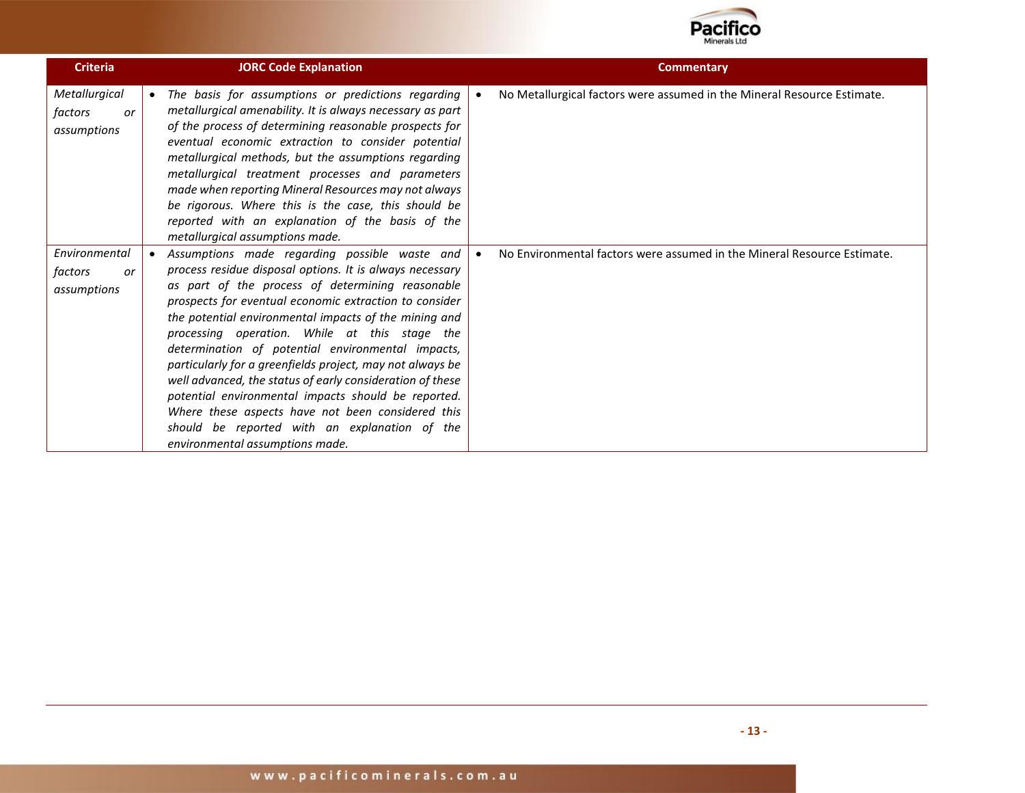

| <b>Criteria</b>                               | <b>JORC Code Explanation</b>                                                                                                                                                                                                                                                                                                                                                                                                                                                                                                                                                                                                                                                                                     | <b>Commentary</b>                                                       |
|-----------------------------------------------|------------------------------------------------------------------------------------------------------------------------------------------------------------------------------------------------------------------------------------------------------------------------------------------------------------------------------------------------------------------------------------------------------------------------------------------------------------------------------------------------------------------------------------------------------------------------------------------------------------------------------------------------------------------------------------------------------------------|-------------------------------------------------------------------------|
| Metallurgical<br>factors<br>or<br>assumptions | The basis for assumptions or predictions regarding<br>$\bullet$<br>metallurgical amenability. It is always necessary as part<br>of the process of determining reasonable prospects for<br>eventual economic extraction to consider potential<br>metallurgical methods, but the assumptions regarding<br>metallurgical treatment processes and parameters<br>made when reporting Mineral Resources may not always<br>be rigorous. Where this is the case, this should be<br>reported with an explanation of the basis of the<br>metallurgical assumptions made.                                                                                                                                                   | No Metallurgical factors were assumed in the Mineral Resource Estimate. |
| Environmental<br>factors<br>or<br>assumptions | Assumptions made regarding possible waste and<br>process residue disposal options. It is always necessary<br>as part of the process of determining reasonable<br>prospects for eventual economic extraction to consider<br>the potential environmental impacts of the mining and<br>processing operation. While at this stage the<br>determination of potential environmental impacts,<br>particularly for a greenfields project, may not always be<br>well advanced, the status of early consideration of these<br>potential environmental impacts should be reported.<br>Where these aspects have not been considered this<br>should be reported with an explanation of the<br>environmental assumptions made. | No Environmental factors were assumed in the Mineral Resource Estimate. |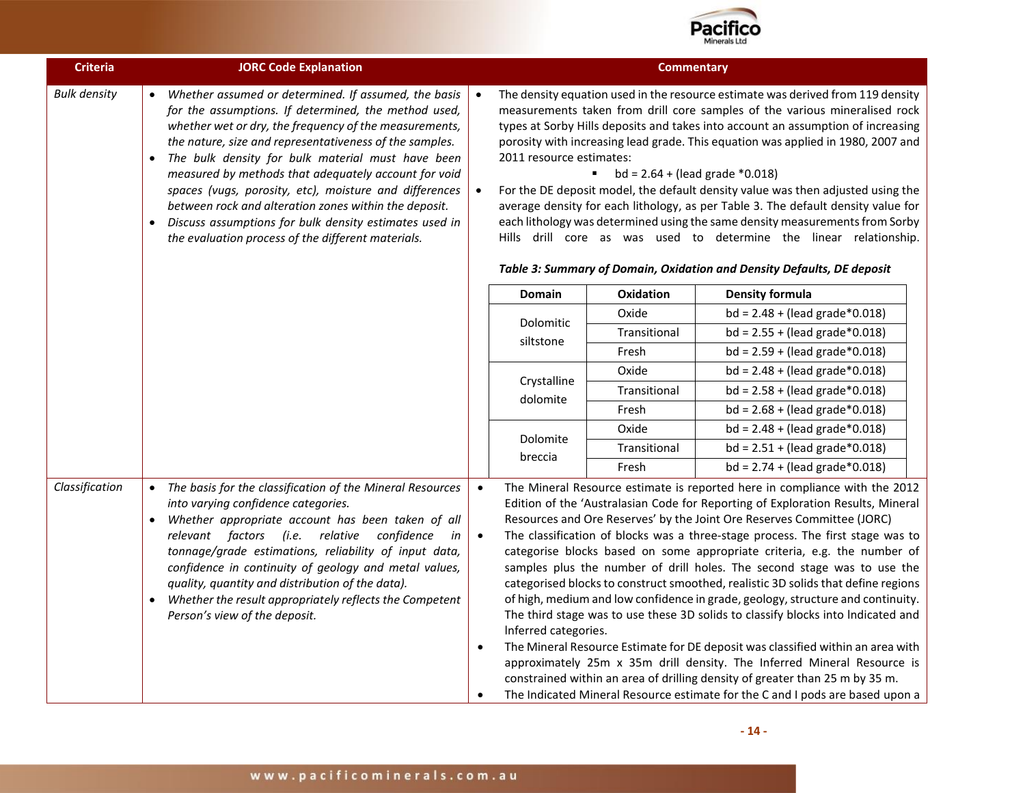

| <b>Criteria</b>     | <b>JORC Code Explanation</b>                                                                                                                                                                                                                                                                                                                                                                                                                                                                                                                                                                                |                                     |                          | <b>Commentary</b>                                                                                                                                                                                                                                                                                                                                                                                                                                                                                                                                                                                                                                                                                                                                                                        |                                                                                                                                                                                                                                                                                                                                                                                                                                                                                                                                                                                                                                                                                                                                                                                                                                                                                                                                                                                                                                                                             |
|---------------------|-------------------------------------------------------------------------------------------------------------------------------------------------------------------------------------------------------------------------------------------------------------------------------------------------------------------------------------------------------------------------------------------------------------------------------------------------------------------------------------------------------------------------------------------------------------------------------------------------------------|-------------------------------------|--------------------------|------------------------------------------------------------------------------------------------------------------------------------------------------------------------------------------------------------------------------------------------------------------------------------------------------------------------------------------------------------------------------------------------------------------------------------------------------------------------------------------------------------------------------------------------------------------------------------------------------------------------------------------------------------------------------------------------------------------------------------------------------------------------------------------|-----------------------------------------------------------------------------------------------------------------------------------------------------------------------------------------------------------------------------------------------------------------------------------------------------------------------------------------------------------------------------------------------------------------------------------------------------------------------------------------------------------------------------------------------------------------------------------------------------------------------------------------------------------------------------------------------------------------------------------------------------------------------------------------------------------------------------------------------------------------------------------------------------------------------------------------------------------------------------------------------------------------------------------------------------------------------------|
| <b>Bulk density</b> | Whether assumed or determined. If assumed, the basis<br>for the assumptions. If determined, the method used,<br>whether wet or dry, the frequency of the measurements,<br>the nature, size and representativeness of the samples.<br>The bulk density for bulk material must have been<br>$\bullet$<br>measured by methods that adequately account for void<br>spaces (vugs, porosity, etc), moisture and differences<br>between rock and alteration zones within the deposit.<br>Discuss assumptions for bulk density estimates used in<br>$\bullet$<br>the evaluation process of the different materials. |                                     | 2011 resource estimates: | The density equation used in the resource estimate was derived from 119 density<br>measurements taken from drill core samples of the various mineralised rock<br>types at Sorby Hills deposits and takes into account an assumption of increasing<br>porosity with increasing lead grade. This equation was applied in 1980, 2007 and<br>$bd = 2.64 + (lead grade * 0.018)$<br>٠<br>For the DE deposit model, the default density value was then adjusted using the<br>average density for each lithology, as per Table 3. The default density value for<br>each lithology was determined using the same density measurements from Sorby<br>Hills drill core as was used to determine the linear relationship.<br>Table 3: Summary of Domain, Oxidation and Density Defaults, DE deposit |                                                                                                                                                                                                                                                                                                                                                                                                                                                                                                                                                                                                                                                                                                                                                                                                                                                                                                                                                                                                                                                                             |
|                     |                                                                                                                                                                                                                                                                                                                                                                                                                                                                                                                                                                                                             |                                     | <b>Domain</b>            | <b>Oxidation</b>                                                                                                                                                                                                                                                                                                                                                                                                                                                                                                                                                                                                                                                                                                                                                                         | <b>Density formula</b>                                                                                                                                                                                                                                                                                                                                                                                                                                                                                                                                                                                                                                                                                                                                                                                                                                                                                                                                                                                                                                                      |
|                     |                                                                                                                                                                                                                                                                                                                                                                                                                                                                                                                                                                                                             |                                     |                          | Oxide                                                                                                                                                                                                                                                                                                                                                                                                                                                                                                                                                                                                                                                                                                                                                                                    | $bd = 2.48 + (lead grade*0.018)$                                                                                                                                                                                                                                                                                                                                                                                                                                                                                                                                                                                                                                                                                                                                                                                                                                                                                                                                                                                                                                            |
|                     |                                                                                                                                                                                                                                                                                                                                                                                                                                                                                                                                                                                                             |                                     | Dolomitic                | Transitional                                                                                                                                                                                                                                                                                                                                                                                                                                                                                                                                                                                                                                                                                                                                                                             | $bd = 2.55 + (lead grade*0.018)$                                                                                                                                                                                                                                                                                                                                                                                                                                                                                                                                                                                                                                                                                                                                                                                                                                                                                                                                                                                                                                            |
|                     |                                                                                                                                                                                                                                                                                                                                                                                                                                                                                                                                                                                                             |                                     | siltstone                | Fresh                                                                                                                                                                                                                                                                                                                                                                                                                                                                                                                                                                                                                                                                                                                                                                                    | $bd = 2.59 + (lead grade*0.018)$                                                                                                                                                                                                                                                                                                                                                                                                                                                                                                                                                                                                                                                                                                                                                                                                                                                                                                                                                                                                                                            |
|                     |                                                                                                                                                                                                                                                                                                                                                                                                                                                                                                                                                                                                             |                                     |                          | Oxide                                                                                                                                                                                                                                                                                                                                                                                                                                                                                                                                                                                                                                                                                                                                                                                    | $bd = 2.48 + (lead grade*0.018)$                                                                                                                                                                                                                                                                                                                                                                                                                                                                                                                                                                                                                                                                                                                                                                                                                                                                                                                                                                                                                                            |
|                     |                                                                                                                                                                                                                                                                                                                                                                                                                                                                                                                                                                                                             |                                     | Crystalline<br>dolomite  | Transitional                                                                                                                                                                                                                                                                                                                                                                                                                                                                                                                                                                                                                                                                                                                                                                             | $bd = 2.58 + (lead grade*0.018)$                                                                                                                                                                                                                                                                                                                                                                                                                                                                                                                                                                                                                                                                                                                                                                                                                                                                                                                                                                                                                                            |
|                     |                                                                                                                                                                                                                                                                                                                                                                                                                                                                                                                                                                                                             |                                     |                          | Fresh                                                                                                                                                                                                                                                                                                                                                                                                                                                                                                                                                                                                                                                                                                                                                                                    | $bd = 2.68 + (lead grade*0.018)$                                                                                                                                                                                                                                                                                                                                                                                                                                                                                                                                                                                                                                                                                                                                                                                                                                                                                                                                                                                                                                            |
|                     |                                                                                                                                                                                                                                                                                                                                                                                                                                                                                                                                                                                                             |                                     | Dolomite                 | Oxide                                                                                                                                                                                                                                                                                                                                                                                                                                                                                                                                                                                                                                                                                                                                                                                    | $bd = 2.48 + (lead grade*0.018)$                                                                                                                                                                                                                                                                                                                                                                                                                                                                                                                                                                                                                                                                                                                                                                                                                                                                                                                                                                                                                                            |
|                     |                                                                                                                                                                                                                                                                                                                                                                                                                                                                                                                                                                                                             |                                     | breccia                  | Transitional                                                                                                                                                                                                                                                                                                                                                                                                                                                                                                                                                                                                                                                                                                                                                                             | $bd = 2.51 + (lead grade*0.018)$                                                                                                                                                                                                                                                                                                                                                                                                                                                                                                                                                                                                                                                                                                                                                                                                                                                                                                                                                                                                                                            |
|                     |                                                                                                                                                                                                                                                                                                                                                                                                                                                                                                                                                                                                             |                                     |                          | Fresh                                                                                                                                                                                                                                                                                                                                                                                                                                                                                                                                                                                                                                                                                                                                                                                    | $bd = 2.74 + (lead grade*0.018)$                                                                                                                                                                                                                                                                                                                                                                                                                                                                                                                                                                                                                                                                                                                                                                                                                                                                                                                                                                                                                                            |
| Classification      | • The basis for the classification of the Mineral Resources<br>into varying confidence categories.<br>Whether appropriate account has been taken of all<br>$\bullet$<br>relevant factors (i.e. relative confidence<br>in<br>tonnage/grade estimations, reliability of input data,<br>confidence in continuity of geology and metal values,<br>quality, quantity and distribution of the data).<br>Whether the result appropriately reflects the Competent<br>$\bullet$<br>Person's view of the deposit.                                                                                                     | $\bullet$<br>$\bullet$<br>$\bullet$ | Inferred categories.     |                                                                                                                                                                                                                                                                                                                                                                                                                                                                                                                                                                                                                                                                                                                                                                                          | The Mineral Resource estimate is reported here in compliance with the 2012<br>Edition of the 'Australasian Code for Reporting of Exploration Results, Mineral<br>Resources and Ore Reserves' by the Joint Ore Reserves Committee (JORC)<br>The classification of blocks was a three-stage process. The first stage was to<br>categorise blocks based on some appropriate criteria, e.g. the number of<br>samples plus the number of drill holes. The second stage was to use the<br>categorised blocks to construct smoothed, realistic 3D solids that define regions<br>of high, medium and low confidence in grade, geology, structure and continuity.<br>The third stage was to use these 3D solids to classify blocks into Indicated and<br>The Mineral Resource Estimate for DE deposit was classified within an area with<br>approximately 25m x 35m drill density. The Inferred Mineral Resource is<br>constrained within an area of drilling density of greater than 25 m by 35 m.<br>The Indicated Mineral Resource estimate for the C and I pods are based upon a |